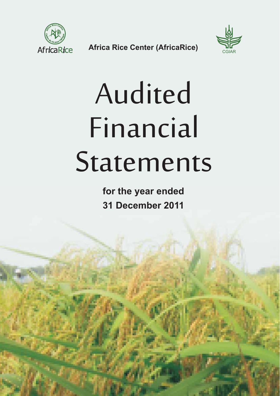

**Africa Rice Center (AfricaRice)** 



# Audited Financial Statements

**for the year ended 31 December 2011**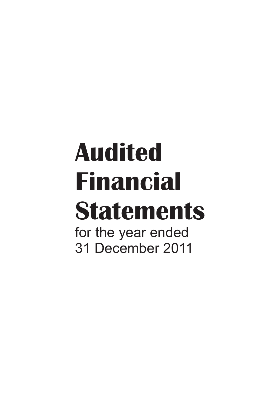# **Audited Financial Statements** for the year ended 31 December 2011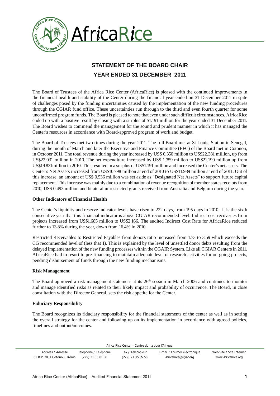

# **STATEMENT OF THE BOARD CHAIR YEAR ENDED 31 DECEMBER 2011**

The Board of Trustees of the Africa Rice Center (AfricaRice) is pleased with the continued improvements in the financial health and stability of the Center during the financial year ended on 31 December 2011 in spite of challenges posed by the funding uncertainties caused by the implementation of the new funding procedures through the CGIAR fund office. These uncertainties run through to the third and even fourth quarter for some unconfirmed program funds. The Board is pleased to note that even under such difficult circumstances, AfricaRice ended up with a positive result by closing with a surplus of \$1.191 million for the year-ended 31 December 2011. The Board wishes to commend the management for the sound and prudent manner in which it has managed the Center's resources in accordance with Board-approved program of work and budget.

The Board of Trustees met two times during the year 2011. The full Board met at St Louis, Station in Senegal, during the month of March and later the Executive and Finance Committee (EFC) of the Board met in Cotonou, in October 2011. The total revenue during the year increased by US\$ 0.350 million to US\$22.381 million, up from US\$22.031 million in 2010. The net expenditure increased by US\$ 1.359 million to US\$21.190 million up from US\$19.831million in 2010. This resulted in a surplus of US\$1.191 million and increased the Center's net assets. The Center's Net Assets increased from US\$10.798 million at end of 2010 to US\$11.989 million at end of 2011. Out of this increase, an amount of US\$ 0.536 million was set aside as "Designated Net Assets" to support future capital replacement. This increase was mainly due to a combination of revenue recognition of member states receipts from 2010, US\$ 0.493 million and bilateral unrestricted grants received from Australia and Belgium during the year.

#### **Other Indicators of Financial Health**

The Center's liquidity and reserve indicator levels have risen to 222 days, from 195 days in 2010. It is the sixth consecutive year that this financial indicator is above CGIAR recommended level. Indirect cost recoveries from projects increased from US\$1.685 million to US\$2.166. The audited Indirect Cost Rate for AfricaRice reduced further to 13.8% during the year, down from 16.4% in 2010.

Restricted Receivables to Restricted Payables from donors ratio increased from 1.73 to 3.59 which exceeds the CG recommended level of (less that 1). This is explained by the level of unsettled donor debts resulting from the delayed implementation of the new funding processes within the CGAIR System. Like all CGIAR Centers in 2011, AfricaRice had to resort to pre-financing to maintain adequate level of research activities for on-going projects, pending disbursement of funds through the new funding mechanisms.

#### **Risk Management**

The Board approved a risk management statement at its 26<sup>th</sup> session in March 2006 and continues to monitor and manage identified risks as related to their likely impact and probability of occurrence. The Board, in close consultation with the Director General, sets the risk appetite for the Center.

### **Fiduciary Responsibility**

The Board recognizes its fiduciary responsibility for the financial statements of the center as well as in setting the overall strategy for the center and following up on its implementation in accordance with agreed policies, timelines and output/outcomes.

| Address / Adresse           | Telephone / Téléphone | Fax / Télécopieur   | E-mail / Courrier éléctronique | Web Site / Site Internet |
|-----------------------------|-----------------------|---------------------|--------------------------------|--------------------------|
| 01 B.P. 2031 Cotonou, Bénin | (229) 21 35 01 88     | $(229)$ 21 35 05 56 | AfricaRice@cgiar.org           | www.AfricaRice.org       |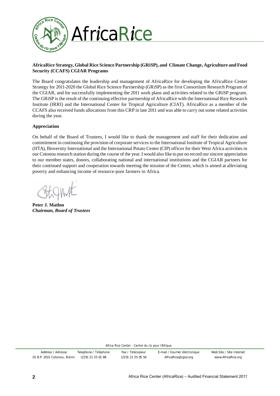

### **AfricaRice Strategy, Global Rice Science Partnership (GRiSP), and Climate Change, Agriculture and Food Security (CCAFS) CGIAR Programs**

The Board congratulates the leadership and management of AfricaRice for developing the AfricaRice Center Strategy for 2011-2020 the Global Rice Science Partnership (GRiSP) as the first Consortium Research Program of the CGIAR, and for successfully implementing the 2011 work plans and activities related to the GRiSP program. The GRiSP is the result of the continuing effective partnership of AfricaRice with the International Rice Research Institute (IRRI) and the International Center for Tropical Agriculture (CIAT). AfricaRice as a member of the CCAFS also received funds allocations from this CRP in late 2011 and was able to carry out some related activities during the year.

### **Appreciation**

On behalf of the Board of Trustees, I would like to thank the management and staff for their dedication and commitment in continuing the provision of corporate services to the International Institute of Tropical Agriculture (IITA), Bioversity International and the International Potato Center (CIP) offices for their West Africa activities in our Cotonou research station during the course of the year. I would also like to put on record our sincere appreciation to our member states, donors, collaborating national and international institutions and the CGIAR partners for their continued support and cooperation towards meeting the mission of the Center, which is aimed at alleviating poverty and enhancing income of resource-poor farmers in Africa.

 $\sim$ 

**Peter J. Matlon**  *Chairman, Board of Trustees*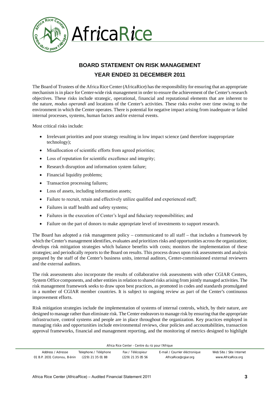

# **BOARD STATEMENT ON RISK MANAGEMENT YEAR ENDED 31 DECEMBER 2011**

The Board of Trustees of the Africa Rice Center (AfricaRice) has the responsibility for ensuring that an appropriate mechanism is in place for Center-wide risk management in order to ensure the achievement of the Center's research objectives. These risks include strategic, operational, financial and reputational elements that are inherent to the nature, *modus operandi* and locations of the Center's activities. These risks evolve over time owing to the environment in which the Center operates. There is potential for negative impact arising from inadequate or failed internal processes, systems, human factors and/or external events.

Most critical risks include:

- Irrelevant priorities and poor strategy resulting in low impact science (and therefore inappropriate technology);
- Misallocation of scientific efforts from agreed priorities;
- Loss of reputation for scientific excellence and integrity;
- Research disruption and information system failure;
- Financial liquidity problems;
- Transaction processing failures;
- Loss of assets, including information assets;
- Failure to recruit, retain and effectively utilize qualified and experienced staff;
- Failures in staff health and safety systems;
- Failures in the execution of Center's legal and fiduciary responsibilities; and
- Failure on the part of donors to make appropriate level of investments to support research.

The Board has adopted a risk management policy – communicated to all staff – that includes a framework by which the Center's management identifies, evaluates and prioritizes risks and opportunities across the organization; develops risk mitigation strategies which balance benefits with costs; monitors the implementation of these strategies; and periodically reports to the Board on results. This process draws upon risk assessments and analysis prepared by the staff of the Center's business units, internal auditors, Center-commissioned external reviewers and the external auditors.

The risk assessments also incorporate the results of collaborative risk assessments with other CGIAR Centers, System Office components, and other entities in relation to shared risks arising from jointly managed activities. The risk management framework seeks to draw upon best practices, as promoted in codes and standards promulgated in a number of CGIAR member countries. It is subject to ongoing review as part of the Center's continuous improvement efforts.

Risk mitigation strategies include the implementation of systems of internal controls, which, by their nature, are designed to manage rather than eliminate risk. The Center endeavors to manage risk by ensuring that the appropriate infrastructure, control systems and people are in place throughout the organization. Key practices employed in managing risks and opportunities include environmental reviews, clear policies and accountabilities, transaction approval frameworks, financial and management reporting, and the monitoring of metrics designed to highlight

| Address / Adresse           | Telephone / Téléphone | Fax / Télécopieur   | E-mail / Courrier éléctronique | Web Site / Site Internet |
|-----------------------------|-----------------------|---------------------|--------------------------------|--------------------------|
| 01 B.P. 2031 Cotonou, Bénin | (229) 21 35 01 88     | $(229)$ 21 35 05 56 | AfricaRice@cgiar.org           | www.AfricaRice.org       |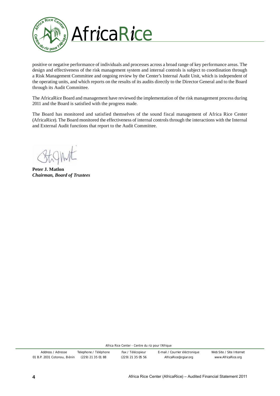

positive or negative performance of individuals and processes across a broad range of key performance areas. The design and effectiveness of the risk management system and internal controls is subject to coordination through a Risk Management Committee and ongoing review by the Center's Internal Audit Unit, which is independent of the operating units, and which reports on the results of its audits directly to the Director General and to the Board through its Audit Committee.

The AfricaRice Board and management have reviewed the implementation of the risk management process during 2011 and the Board is satisfied with the progress made.

The Board has monitored and satisfied themselves of the sound fiscal management of Africa Rice Center (AfricaRice). The Board monitored the effectiveness of internal controls through the interactions with the Internal and External Audit functions that report to the Audit Committee.

**Peter J. Matlon**  *Chairman, Board of Trustees*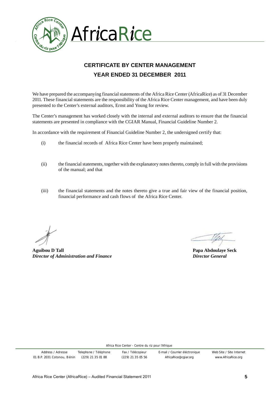

# **CERTIFICATE BY CENTER MANAGEMENT YEAR ENDED 31 DECEMBER 2011**

We have prepared the accompanying financial statements of the Africa Rice Center (AfricaRice) as of 31 December 2011. These financial statements are the responsibility of the Africa Rice Center management, and have been duly presented to the Center's external auditors, Ernst and Young for review.

The Center's management has worked closely with the internal and external auditors to ensure that the financial statements are presented in compliance with the CGIAR Manual, Financial Guideline Number 2.

In accordance with the requirement of Financial Guideline Number 2, the undersigned certify that:

- (i) the financial records of Africa Rice Center have been properly maintained;
- (ii) the financial statements, together with the explanatory notes thereto, comply in full with the provisions of the manual; and that
- (iii) the financial statements and the notes thereto give a true and fair view of the financial position, financial performance and cash flows of the Africa Rice Center.

**Aguibou D Tall Papa Abdoulaye Seck** *Director of Administration and Finance Director General*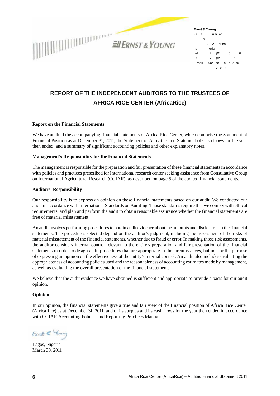

**Ernst & Young** 2A a uu Rad i a 22 arina a ieria el 2 (01) 0 0 Fa 2 (01) 0 1 mail Serice necm ecm

## **REPORT OF THE INDEPENDENT AUDITORS TO THE TRUSTEES OF AFRICA RICE CENTER (AfricaRice)**

#### **Report on the Financial Statements**

We have audited the accompanying financial statements of Africa Rice Center, which comprise the Statement of Financial Position as at December 31, 2011, the Statement of Activities and Statement of Cash flows for the year then ended, and a summary of significant accounting policies and other explanatory notes.

#### **Management's Responsibility for the Financial Statements**

The management is responsible for the preparation and fair presentation of these financial statements in accordance with policies and practices prescribed for International research center seeking assistance from Consultative Group on International Agricultural Research (CGIAR) as described on page 5 of the audited financial statements.

#### **Auditors' Responsibility**

Our responsibility is to express an opinion on these financial statements based on our audit. We conducted our audit in accordance with International Standards on Auditing. Those standards require that we comply with ethical requirements, and plan and perform the audit to obtain reasonable assurance whether the financial statements are free of material misstatement.

An audit involves performing procedures to obtain audit evidence about the amounts and disclosures in the financial statements. The procedures selected depend on the auditor's judgment, including the assessment of the risks of material misstatement of the financial statements, whether due to fraud or error. In making those risk assessments, the auditor considers internal control relevant to the entity's preparation and fair presentation of the financial statements in order to design audit procedures that are appropriate in the circumstances, but not for the purpose of expressing an opinion on the effectiveness of the entity's internal control. An audit also includes evaluating the appropriateness of accounting policies used and the reasonableness of accounting estimates made by management, as well as evaluating the overall presentation of the financial statements.

We believe that the audit evidence we have obtained is sufficient and appropriate to provide a basis for our audit opinion.

#### **Opinion**

In our opinion, the financial statements give a true and fair view of the financial position of Africa Rice Center (AfricaRice) as at December 31, 2011, and of its surplus and its cash flows for the year then ended in accordance with CGIAR Accounting Policies and Reporting Practices Manual.

Einst & Young

Lagos, Nigeria. March 30, 2011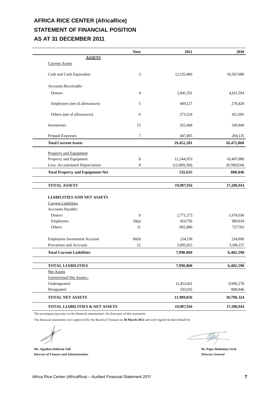## **AFRICA RICE CENTER (AfricaRice) STATEMENT OF FINANCIAL POSITION AS AT 31 DECEMBER 2011**

|                                                         | <b>Note</b> | 2011         | 2010        |
|---------------------------------------------------------|-------------|--------------|-------------|
| <b>ASSETS</b>                                           |             |              |             |
| <b>Current Assets</b>                                   |             |              |             |
| Cash and Cash Equivalent                                | 3           | 12,155,406   | 10,567,088  |
| Accounts Receivable:                                    |             |              |             |
| Donors                                                  | 4           | 5,841,551    | 4,611,594   |
| Employees (net of allowances)                           | 5           | 409,127      | 278,420     |
| Others (net of allowances)                              | 6           | 273,324      | 412,691     |
| Inventories                                             | 13          | 325,468      | 318,940     |
| Prepaid Expenses                                        | 7           | 447,405      | 284,135     |
| <b>Total Current Assets</b>                             |             | 19,452,281   | 16,472,868  |
|                                                         |             |              |             |
| <b>Property and Equipment</b><br>Property and Equipment | 8           | 12,544,953   | 10,407,080  |
| Less: Accumulated Depreciation                          | 8           | (12,009,318) | (9,599,034) |
| <b>Total Property and Equipment-Net</b>                 |             | 535,635      | 808,046     |
|                                                         |             |              |             |
| <b>TOTAL ASSETS</b>                                     |             | 19,987,916   | 17,280,914  |
| <b>LIABILITIES AND NET ASSETS</b>                       |             |              |             |
| <b>Current Liabilities</b>                              |             |              |             |
| Accounts Payable:                                       |             |              |             |
| Donors                                                  | 9           | 2,771,273    | 1,974,036   |
| Employees                                               | 10(a)       | 424,756      | 380,634     |
| Others                                                  | 11          | 692,880      | 727,763     |
|                                                         |             |              |             |
| <b>Employees Investment Account</b>                     | 10(b)       | 214,136      | 214,000     |
| Provisions and Accruals                                 | 12          | 3,895,815    | 3,186,157   |
| <b>Total Current Liabilities</b>                        |             | 7,998,860    | 6,482,590   |
| <b>TOTAL LIABILITIES</b>                                |             | 7,998,860    | 6,482,590   |
| Net Assets                                              |             |              |             |
| <b>Unrestricted Net Assets:-</b>                        |             |              |             |
| Undesignated                                            |             | 11,453,421   | 9,990,278   |
| Designated                                              |             | 535,635      | 808,046     |
| TOTAL NET ASSETS                                        |             | 11,989,056   | 10,798,324  |
| TOTAL LIABILITIES & NET ASSETS                          |             | 19,987,916   | 17,280,914  |

The accompanying notes to the financial statements(1-16) form part of this statement.

The financial statements were approved by the Board of Trustees on 30 March 2012 and were signed on their behalf by:

**Mr. Aguibou Dahirou Tall Dr. Papa Abdoulaye Seck** *Director of Finance and Administration Director General*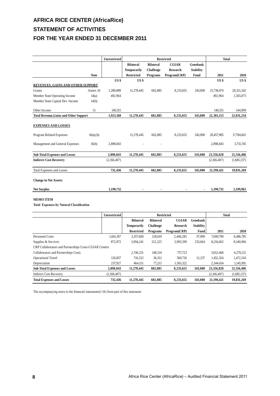# **AFRICA RICE CENTER (AfricaRice) STATEMENT OF ACTIVITIES FOR THE YEAR ENDED 31 DECEMBER 2011**

|                                                        |               | Unrestricted    |                    |                  | <b>Restricted</b> |                  | <b>Total</b>    |                 |
|--------------------------------------------------------|---------------|-----------------|--------------------|------------------|-------------------|------------------|-----------------|-----------------|
|                                                        |               |                 | <b>Bilateral</b>   | <b>Bilateral</b> | <b>CGIAR</b>      | Genebank         |                 |                 |
|                                                        |               |                 | <b>Temporarily</b> | <b>Challenge</b> | <b>Research</b>   | <b>Stability</b> |                 |                 |
|                                                        | <b>Note</b>   |                 | <b>Restricted</b>  | Programs         | Program(CRP)      | Fund             | 2011            | 2010            |
|                                                        |               | US <sub>s</sub> | US\$               |                  |                   |                  | US <sub>s</sub> | US <sub>s</sub> |
| <b>REVENUES, GAINS AND OTHER SUPPORT</b>               |               |                 |                    |                  |                   |                  |                 |                 |
| Grants                                                 | Annex 10      | 1,280,889       | 11,278,445         | 602,885          | 8,233,655         | 343,000          | 21,738,874      | 20,321,262      |
| Member State Operating Income                          | 14(a)         | 492,964         |                    |                  |                   |                  | 492,964         | 1,565,073       |
| Member State Capital Dev. Income                       | 14(b)         |                 |                    |                  |                   |                  |                 |                 |
| Other Income                                           | 15            | 149,315         |                    |                  |                   |                  | 149,315         | 144,899         |
| <b>Total Revenue, Gains and Other Support</b>          |               | 1,923,168       | 11,278,445         | 602,885          | 8,233,655         | 343,000          | 22,381,153      | 22,031,234      |
| <b>EXPENSES AND LOSSES</b><br>Program Related Expenses | $16(a)$ , (b) |                 | 11.278.445         | 602.885          | 8.233.655         | 343,000          | 20.457.985      | 17,784,661      |
| Management and General Expenses                        | 16(b)         | 2,898,843       |                    |                  |                   |                  | 2,898,843       | 3,731,745       |
| <b>Sub-Total Expenses and Losses</b>                   |               | 2,898,843       | 11,278,445         | 602.885          | 8,233,655         | 343,000          | 23,356,828      | 21,516,406      |
| <b>Indirect Cost Recovery</b>                          |               | (2,166,407)     |                    |                  |                   |                  | (2,166,407)     | (1,685,137)     |
| <b>Total Expenses and Losses</b>                       |               | 732,436         | 11,278,445         | 602,885          | 8,233,655         | 343,000          | 21,190,421      | 19,831,269      |
| <b>Change in Net Assets:</b>                           |               |                 |                    |                  |                   |                  |                 |                 |
| <b>Net Surplus</b>                                     |               | 1,190,732       |                    |                  |                   |                  | 1,190,732       | 2,199,965       |

#### **MEMO ITEM**

**70tal Expenses-by Natural Classification** 

|                                                        | <b>Unrestricted</b> |                    | <b>Restricted</b> |              |                  | <b>Total</b> |             |
|--------------------------------------------------------|---------------------|--------------------|-------------------|--------------|------------------|--------------|-------------|
|                                                        |                     | <b>Bilateral</b>   | <b>Bilateral</b>  | <b>CGIAR</b> | Genebank         |              |             |
|                                                        |                     | <b>Temporarily</b> | <b>Challenge</b>  | Research     | <b>Stability</b> |              |             |
|                                                        |                     | <b>Restricted</b>  | Programs          | Program(CRP) | Fund             | 2011         | 2010        |
| Personnel Costs                                        | 1,661,187           | 3,357,600          | 128,619           | 2,446,285    | 97,099           | 7,690,790    | 6,486,785   |
| Supplies & Services                                    | 872,872             | 3,994,241          | 212,225           | 2,903,599    | 233,664          | 8,216,602    | 8,140,966   |
| CRP Collaborators and Partnerships Costs-CGIAR Centers |                     |                    |                   |              |                  |              |             |
| Collaborators and Partnerships Costs                   |                     | 2,746,231          | 148,514           | 757,723      |                  | 3,652,468    | 4,270,121   |
| <b>Operational Travel</b>                              | 126,857             | 716,222            | 36,312            | 560.726      | 12,237           | 1.452.354    | 1,472,543   |
| Depreciation                                           | 237,927             | 464.151            | 77.215            | 1,565,322    |                  | 2.344.614    | 1,145,991   |
| <b>Sub-Total Expenses and Losses</b>                   | 2,898,843           | 11,278,445         | 602,885           | 8,233,655    | 343,000          | 23,356,828   | 21,516,406  |
| <b>Indirect Cost Recovery</b>                          | (2,166,407)         |                    |                   |              |                  | (2,166,407)  | (1,685,137) |
| <b>Total Expenses and Losses</b>                       | 732,436             | 11,278,445         | 602.885           | 8,233,655    | 343,000          | 21,190,421   | 19,831,269  |

The accompanying notes to the financial statements  $(1-16)$  form part of this statement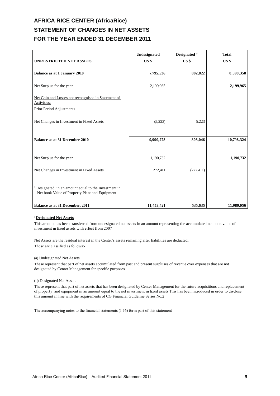# **AFRICA RICE CENTER (AfricaRice) STATEMENT OF CHANGES IN NET ASSETS FOR THE YEAR ENDED 31 DECEMBER 2011**

|                                                                                                                   | Undesignated | Designated <sup>1/</sup> | <b>Total</b>    |
|-------------------------------------------------------------------------------------------------------------------|--------------|--------------------------|-----------------|
| <b>UNRESTRICTED NET ASSETS</b>                                                                                    | US \$        | $US$ \$                  | US <sub>s</sub> |
| <b>Balance as at 1 January 2010</b>                                                                               | 7,795,536    | 802,822                  | 8,598,358       |
| Net Surplus for the year                                                                                          | 2,199,965    |                          | 2,199,965       |
| Net Gain and Losses not recongnised in Statement of<br>Activities:                                                |              |                          |                 |
| Prior Period Adjustments                                                                                          |              |                          |                 |
| Net Changes in Investment in Fixed Assets                                                                         | (5,223)      | 5,223                    |                 |
| <b>Balance as at 31 December 2010</b>                                                                             | 9,990,278    | 808,046                  | 10,798,324      |
| Net Surplus for the year                                                                                          | 1,190,732    |                          | 1,190,732       |
| Net Changes in Investment in Fixed Assets                                                                         | 272,411      | (272, 411)               |                 |
| <sup>1</sup> Designated in an amount equal to the Investment in<br>Net book Value of Property Plant and Equipment |              |                          |                 |
| Balance as at 31 December. 2011                                                                                   | 11,453,421   | 535,635                  | 11,989,056      |

#### <sup>1</sup>**Designated Net Assets**

This amount has been transferred from undesignated net assets in an amount representing the accumulated net book value of investment in fixed assets with effect from 2007

Net Assets are the residual interest in the Center's assets remaning after liabilities are deducted. These are classified as follows:-

#### (a) Undesignated Net Assets

These represent that part of net assets accumulated from past and present surpluses of revenue over expenses that are not designated by Center Management for specific purposes.

#### (b) Designated Net Assets

These represent that part of net assets that has been designated by Center Management for the future acquisitions and replacement of property and equipment in an amount equal to the net investment in fixed assets. This has been introduced in order to disclose this amount in line with the requirements of CG Financial Guideline Series No.2

The accompanying notes to the financial statements (1-16) form part of this statement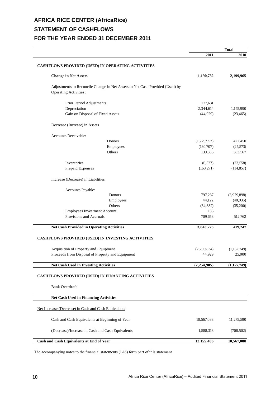# **AFRICA RICE CENTER (AfricaRice) STATEMENT OF CASHFLOWS FOR THE YEAR ENDED 31 DECEMBER 2011**

|                                                                                                              |               | <b>Total</b>  |
|--------------------------------------------------------------------------------------------------------------|---------------|---------------|
|                                                                                                              | 2011          | 2010          |
| <b>CASHFLOWS PROVIDED (USED) IN OPERATING ACTIVITIES</b>                                                     |               |               |
| <b>Change in Net Assets</b>                                                                                  | 1,190,732     | 2,199,965     |
| Adjustments to Reconcile Change in Net Assets to Net Cash Provided (Used) by<br><b>Operating Activities:</b> |               |               |
| Prior Period Adjustments                                                                                     | 227,631       |               |
| Depreciation                                                                                                 | 2,344,614     | 1,145,990     |
| Gain on Disposal of Fixed Assets                                                                             | (44, 929)     | (23, 465)     |
| Decrease (Increase) in Assets                                                                                |               |               |
| <b>Accounts Receivable:</b>                                                                                  |               |               |
| Donors                                                                                                       | (1,229,957)   | 422,450       |
| Employees                                                                                                    | (130,707)     | (27, 573)     |
| Others                                                                                                       | 139,366       | 383,567       |
| Inventories                                                                                                  | (6,527)       | (23, 558)     |
| Prepaid Expenses                                                                                             | (163, 271)    | (114, 857)    |
| Increase (Decrease) in Liabilities                                                                           |               |               |
| Accounts Payable:                                                                                            |               |               |
| Donors                                                                                                       | 797,237       | (3,979,898)   |
| Employees                                                                                                    | 44,122        | (40, 936)     |
| Others                                                                                                       | (34, 882)     | (35,200)      |
| <b>Employees Investment Account</b>                                                                          | 136           |               |
| Provisions and Accruals                                                                                      | 709,658       | 512,762       |
| <b>Net Cash Provided in Operating Activities</b>                                                             | 3,843,223     | 419,247       |
| CASHFLOWS PROVIDED (USED) IN INVESTING ACTIVITIES                                                            |               |               |
| Acquisition of Property and Equipment                                                                        | (2, 299, 834) | (1,152,749)   |
| Proceeds from Disposal of Property and Equipment                                                             | 44,929        | 25,000        |
| <b>Net Cash Used in Investing Activities</b>                                                                 | (2,254,905)   | (1, 127, 749) |
| <b>CASHFLOWS PROVIDED (USED) IN FINANCING ACTIVITIES</b>                                                     |               |               |
| <b>Bank Overdraft</b>                                                                                        |               |               |
| <b>Net Cash Used in Financing Activities</b>                                                                 |               |               |
| Net Increase (Decrease) in Cash and Cash Equivalents                                                         |               |               |
| Cash and Cash Equivalents at Beginning of Year                                                               | 10,567,088    | 11,275,590    |
|                                                                                                              |               |               |
| (Decrease)/Increase in Cash and Cash Equivalents                                                             | 1,588,318     | (708, 502)    |
| Cash and Cash Equivalents at End of Year                                                                     | 12,155,406    | 10,567,088    |

The accompanying notes to the financial statements (1-16) form part of this statement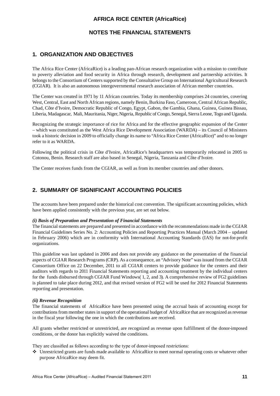## **NOTES THE FINANCIAL STATEMENTS**

## **1. ORGANIZATION AND OBJECTIVES**

The Africa Rice Center (AfricaRice) is a leading pan-African research organization with a mission to contribute to poverty alleviation and food security in Africa through research, development and partnership activities. It belongs to the Consortium of Centers supported by the Consultative Group on International Agricultural Research (CGIAR). It is also an autonomous intergovernmental research association of African member countries.

The Center was created in 1971 by 11 African countries. Today its membership comprises 24 countries, covering West, Central, East and North African regions, namely Benin, Burkina Faso, Cameroon, Central African Republic, Chad, Côte d'Ivoire, Democratic Republic of Congo, Egypt, Gabon, the Gambia, Ghana, Guinea, Guinea Bissau, Liberia, Madagascar, Mali, Mauritania, Niger, Nigeria, Republic of Congo, Senegal, Sierra Leone, Togo and Uganda.

Recognizing the strategic importance of rice for Africa and for the effective geographic expansion of the Center – which was constituted as the West Africa Rice Development Association (WARDA) – its Council of Ministers took a historic decision in 2009 to officially change its name to "Africa Rice Center (AfricaRice)" and to no longer refer to it as WARDA.

Following the political crisis in Côte d'Ivoire, AfricaRice's headquarters was temporarily relocated in 2005 to Cotonou, Benin. Research staff are also based in Senegal, Nigeria, Tanzania and Côte d'Ivoire.

The Center receives funds from the CGIAR, as well as from its member countries and other donors.

## **2. SUMMARY OF SIGNIFICANT ACCOUNTING POLICIES**

The accounts have been prepared under the historical cost convention. The significant accounting policies, which have been applied consistently with the previous year, are set out below.

#### *(i) Basis of Preparation and Presentation of Financial Statements*

The financial statements are prepared and presented in accordance with the recommendations made in the CGIAR Financial Guidelines Series No. 2: Accounting Policies and Reporting Practices Manual (March 2004 – updated in February 2006) which are in conformity with International Accounting Standards (IAS) for not-for-profit organizations.

This guideline was last updated in 2006 and does not provide any guidance on the presentation of the financial aspects of CGIAR Research Programs (CRP). As a consequence, an "Advisory Note" was issued from the CGIAR Consortium Office on 22 December, 2011 to all CGIAR centers to provide guidance for the centers and their auditors with regards to 2011 Financial Statements reporting and accounting treatment by the individual centers for the funds disbursed through CGIAR Fund Windows( 1, 2, and 3). A comprehensive review of FG2 guidelines is planned to take place during 2012, and that revised version of FG2 will be used for 2012 Financial Statements reporting and presentation.

#### *(ii) Revenue Recognition*

The financial statements of AfricaRice have been presented using the accrual basis of accounting except for contributions from member states in support of the operational budget of AfricaRice that are recognized as revenue in the fiscal year following the one in which the contributions are received.

All grants whether restricted or unrestricted, are recognized as revenue upon fulfillment of the donor-imposed conditions, or the donor has explicitly waived the conditions.

They are classified as follows according to the type of donor-imposed restrictions:

Unrestricted grants are funds made available to AfricaRice to meet normal operating costs or whatever other purpose AfricaRice may deem fit.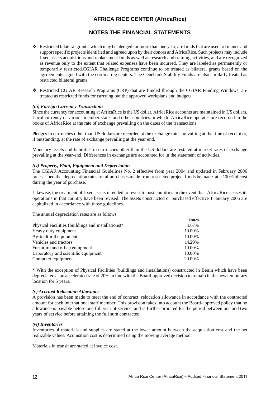## **NOTES THE FINANCIAL STATEMENTS**

- \* Restricted bilateral grants, which may be pledged for more than one year, are funds that are used to finance and support specific projects identified and agreed upon by their donors and AfricaRice. Such projects may include fixed assets acquisitions and replacement funds as well as research and training activities, and are recognized as revenue only to the extent that related expenses have been incurred. They are labeled as permanently or temporarily restricted.CGIAR Challenge Programs continue to be treated as bilateral grants based on the agrreements signed with the cordinating centers. The Genebank Stabilily Funds are also similarly treated as restricted bilateral grants.
- \* Restricted CGIAR Research Programs (CRP) that are funded through the CGIAR Funding Windows, are treated as restricted funds for carrying out the approved workplans and budgets.

#### *(iii) Foreign Currency Transactions*

Since the currency for accounting at AfricaRice is the US dollar, AfricaRice accounts are maintained in US dollars. Local currency of various member states and other countries in which AfricaRice operates are recorded in the books of AfricaRice at the rate of exchange prevailing on the dates of the transactions.

Pledges in currencies other than US dollars are recorded at the exchange rates prevailing at the time of receipt or, if outstanding, at the rate of exchange prevailing at the year end.

Monetary assets and liabilities in currencies other than the US dollars are restated at market rates of exchange prevailing at the year-end. Differences in exchange are accounted for in the statement of activities.

#### *(iv) Property, Plant, Equipment and Depreciation*

The CGIAR Accounting Financial Guidelines No. 2 effective from year 2004 and updated in February 2006 precscribed the depreciation rates for allpurchases made from restricted project funds be made at a 100% of cost during the year of purchase.

Likewise, the treatment of fixed assets intended to revert to host countries in the event that AfricaRice ceases its operations in that country have been revised. The assets constructed or purchased effective 1 January 2005 are capitalized in accordance with those guidelines.

The annual depreciation rates are as follows:

| <b>IVALUA</b> |
|---------------|
| 1.67%         |
| 10.00%        |
| 10.00%        |
| 14.29%        |
| $10.00\%$     |
| $10.00\%$     |
| 20.00%        |
|               |

\* With the exception of Physical Facilities (buildings and installations) constructed in Benin which have been depreciated at an accelerated rate of 20% in line with the Board-approved decision to remain in the new temporary location for 5 years.

#### *(v) Accrued Relocation Allowance*

A provision has been made to meet the end of contract relocation allowance in accordance with the contracted amount for each international staff member. This provision takes into account the Board-approved policy that no allowance is payable before one full year of service, and is further prorated for the period between one and two years of service before attaining the full sum contracted.

#### *(vi) Inventories*

Inventories of materials and supplies are stated at the lower amount between the acquisition cost and the net realizable values. Acquisition cost is determined using the moving average method.

Materials in transit are stated at invoice cost.

**Rates**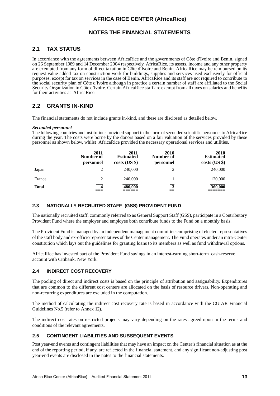## **NOTES THE FINANCIAL STATEMENTS**

## **2.1 TAX STATUS**

In accordance with the agreements between AfricaRice and the governments of Côte d'Ivoire and Benin, signed on 26 September 1989 and 14 December 2004 respectively, AfricaRice, its assets, income and any other property are exempted from any form of direct taxation in Côte d'Ivoire and Benin. AfricaRice may be reimbursed on its request value added tax on construction work for buildings, supplies and services used exclusively for official purposes, except for tax on services in the case of Benin. AfricaRice and its staff are not required to contribute to the social security plan of Côte d'Ivoire although in practice a certain number of staff are affiliated to the Social Security Organization in Côte d'Ivoire. Certain AfricaRice staff are exempt from all taxes on salaries and benefits for their activities at AfricaRice.

## **2.2 GRANTS IN-KIND**

The financial statements do not include grants in-kind, and these are disclosed as detailed below.

#### *Seconded personnel*

The following countries and institutions provided support in the form of seconded scientific personnel to AfricaRice during the year. The costs were borne by the donors based on a fair valuation of the services provided by these personnel as shown below, whilst AfricaRice provided the necessary operational services and utilities.

|        | 2011<br>Number of<br>personnel | 2011<br><b>Estimated</b><br>$costs$ (US \$) | <b>2010</b><br>Number of<br>personnel | 2010<br><b>Estimated</b><br>$costs$ (US \$) |
|--------|--------------------------------|---------------------------------------------|---------------------------------------|---------------------------------------------|
| Japan  |                                | 240,000                                     |                                       | 240,000                                     |
| France | 2                              | 240,000                                     |                                       | 120,000                                     |
| Total  | $\overline{\mathbf{4}}$        | 480,000                                     | 3                                     | 360,000                                     |

### **2.3 NATIONALLY RECRUITED STAFF (GSS) PROVIDENT FUND**

The nationally recruited staff, commonly referred to as General Support Staff (GSS), participate in a Contributory Provident Fund where the employer and employee both contribute funds to the Fund on a monthly basis.

The Provident Fund is managed by an independent management committee comprising of elected representatives of the staff body and ex-officio representatives of the Center management. The Fund operates under an intra-Center constitution which lays out the guidelines for granting loans to its members as well as fund withdrawal options.

AfricaRice has invested part of the Provident Fund savings in an interest-earning short-term cash-reserve account with Citibank, New York.

### **2.4 INDIRECT COST RECOVERY**

The pooling of direct and indirect costs is based on the principle of attribution and assignability. Expenditures that are common to the different cost centers are allocated on the basis of resource drivers. Non-operating and non-recurring expenditures are excluded in the computation.

The method of calcultating the indirect cost recovery rate is based in accordance with the CGIAR Financial Guidelines No.5 (refer to Annex 12).

The indirect cost rates on restricted projects may vary depending on the rates agreed upon in the terms and conditions of the relevant agreements.

### **2.5 CONTINGENT LIABILITIES AND SUBSEQUENT EVENTS**

Post year-end events and contingent liabilities that may have an impact on the Center's financial situation as at the end of the reporting period, if any, are reflected in the financial statement, and any significant non-adjusting post year-end events are disclosed in the notes to the financial statements.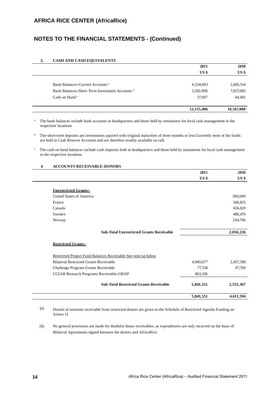## **NOTES TO THE FINANCIAL STATEMENTS - (Continued)**

#### **3. CASH AND CASH EQUIVALENTS**

|                                                | 2011            | 2010            |
|------------------------------------------------|-----------------|-----------------|
|                                                | US <sub>s</sub> | US <sub>s</sub> |
|                                                |                 |                 |
| Bank Balances-Current Accounts <sup>a/</sup>   | 6,534,693       | 2,685,514       |
| Bank Balances-Short Term Investment Accounts b | 5,582,806       | 7,837,083       |
| Cash on Hand $e'$                              | 37,907          | 44,491          |
|                                                | 12,155,406      | 10,567,088      |

a/ The bank balances include bank accounts at headquarters and those held by outstations for local cash management in the respective locations

**b**<sup>1</sup> The short-term deposits are investments aquired with original maturities of three months or less.Currently most of the funds are held in Cash Reserve Accounts and are therefore readily available on call.

 $\degree$  The cash on hand balances include cash imprests both at headquarters and those held by outstations for local cash management in the respective locations

#### **4 ACCOUNTS RECEIVABLE-DONORS**

|                                                                | 2011            | 2010            |
|----------------------------------------------------------------|-----------------|-----------------|
|                                                                | US <sub>s</sub> | US <sub>s</sub> |
| <b>Unrestricted Grants:-</b>                                   |                 |                 |
| United States of America                                       |                 | 500,000         |
| France                                                         |                 | 168,425         |
| Canada                                                         |                 | 656,619         |
| Sweden                                                         |                 | 486,476         |
| Norway                                                         |                 | 244,706         |
| <b>Sub-Total Unrestricted Grants Receivable</b>                |                 | 2,056,226       |
| <b>Restricted Grants:-</b>                                     |                 |                 |
| Restricted Project Fund Balances Receivable-See note (a) below |                 |                 |
| <b>Bilateral Restricted Grants Receivable</b>                  | 4,900,677       | 2,457,598       |
| Challenge Program Grants Receivable                            | 77,538          | 97,769          |
| CGIAR Research Programs Receivable-GRiSP                       | 863,336         |                 |
| <b>Sub-Total Restricted Grants Receivable</b>                  | 5,841,551       | 2,555,367       |
|                                                                | 5,841,551       | 4,611,594       |

(a) Details of amounts receivable from restricted donors are given in the Schedule of Restricted Agenda Funding on Annex 11

(b) No general provisions are made for doubtful donor receivables, as expenditures are only incurred on the basis of Bilateral Agreements signed between the donors and AfricaRice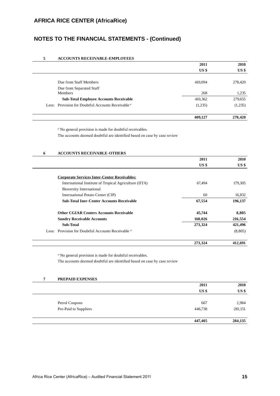## **NOTES TO THE FINANCIAL STATEMENTS - (Continued)**

#### **5 ACCOUNTS RECEIVABLE-EMPLOYEES**

|                                                                | 2011            | 2010            |
|----------------------------------------------------------------|-----------------|-----------------|
|                                                                | US <sub>s</sub> | US <sub>3</sub> |
|                                                                |                 |                 |
| Due from Staff Members                                         | 410,094         | 278,420         |
| Due from Separated Staff                                       |                 |                 |
| Members                                                        | 268             | 1,235           |
| <b>Sub-Total Employee Accounts Receivable</b>                  | 410,362         | 279,655         |
| Less: Provision for Doubtful Accounts Receivable <sup>a/</sup> | (1,235)         | (1,235)         |
|                                                                | 409,127         | 278,420         |

<sup>a/</sup> No general provision is made for doubtful receivables.

The accounts deemed doubtful are identified based on case by case review

| 6     | <b>ACCOUNTS RECEIVABLE-OTHERS</b>                        |                 |             |
|-------|----------------------------------------------------------|-----------------|-------------|
|       |                                                          | 2011            | <b>2010</b> |
|       |                                                          | US <sub>s</sub> | US \$       |
|       | <b>Corporate Services Inter-Center Receivables:</b>      |                 |             |
|       | International Institute of Tropical Agriculture (IITA)   | 67,494          | 179,305     |
|       | <b>Bioversity International</b>                          |                 |             |
|       | International Potato Center (CIP)                        | 60              | 16,832      |
|       | <b>Sub-Total Iner-Center Accounts Receivable</b>         | 67,554          | 196,137     |
|       | <b>Other CGIAR Centers Accounts Receivable</b>           | 45,744          | 8,805       |
|       | <b>Sundry Receivable Accounts</b>                        | 160,026         | 216,554     |
|       | <b>Sub-Total</b>                                         | 273,324         | 421,496     |
| Less: | Provision for Doubtful Accounts Receivable <sup>a/</sup> |                 | (8,805)     |
|       |                                                          | 273,324         | 412,691     |

<sup>a/</sup> No general provision is made for doubtful receivables.

The accounts deemed doubtful are identified based on case by case review

| 7 | PREPAID EXPENSES      |                 |                 |
|---|-----------------------|-----------------|-----------------|
|   |                       | 2011            | 2010            |
|   |                       | US <sub>5</sub> | US <sub>3</sub> |
|   | Petrol Coupons        | 667             | 2,984           |
|   | Pre-Paid to Suppliers | 446,738         | 281,151         |
|   |                       | 447,405         | 284,135         |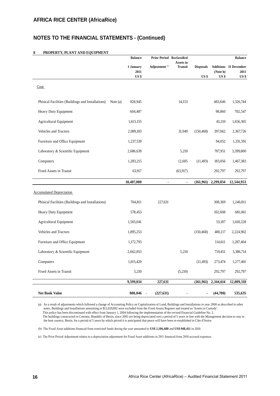## **NOTES TO THE FINANCIAL STATEMENTS - (Continued)**

#### **8 PROPERTY, PLANT AND EQUIPMENT**

|                                                   | <b>Balance</b>        | <b>Prior Period Reclassified</b> |                      |                  |                             | <b>Balance</b>               |
|---------------------------------------------------|-----------------------|----------------------------------|----------------------|------------------|-----------------------------|------------------------------|
|                                                   | 1 January             | Adjustment <sup>(c)</sup>        | Assets in<br>Transit | <b>Disposals</b> |                             | <b>Additions</b> 31 December |
|                                                   | 2011<br>US \$         |                                  |                      | $US$ \$          | (Note b)<br>US <sub>3</sub> | 2011<br>US\$                 |
| Cost                                              |                       |                                  |                      |                  |                             |                              |
| Phisical Facilities (Buildings and Installations) | 828,945<br>Note $(a)$ |                                  | 14,153               |                  | 483,646                     | 1,326,744                    |
| Heavy Duty Equipment                              | 604,487               |                                  |                      |                  | 98,060                      | 702,547                      |
| <b>Agricultural Equipment</b>                     | 1,613,155             |                                  |                      |                  | 43,210                      | 1,656,365                    |
| Vehicles and Tractors                             | 2,089,183             |                                  | 31,949               | (150, 468)       | 397,062                     | 2,367,726                    |
| Furniture and Office Equipment                    | 1,237,539             |                                  |                      |                  | 94,052                      | 1,331,591                    |
| Laboratory & Scientific Equipment                 | 2,686,639             |                                  | 5,210                |                  | 707,951                     | 3,399,800                    |
| Computers                                         | 1,283,215             |                                  | 12,605               | (11, 493)        | 183,056                     | 1,467,383                    |
| Fixed Assets in Transit                           | 63,917                |                                  | (63, 917)            |                  | 292,797                     | 292,797                      |
|                                                   | 10,407,080            | $\overline{a}$                   | $\blacksquare$       | (161, 961)       | 2,299,834                   | 12,544,953                   |
| <b>Accumulated Depreciation</b>                   |                       |                                  |                      |                  |                             |                              |
| Phisical Facilities (Buildings and Installations) | 704,811               | 227,631                          |                      |                  | 308,369                     | 1,240,811                    |
| Heavy Duty Equipment                              | 578,453               |                                  |                      |                  | 102,608                     | 681,061                      |
| <b>Agricultural Equipment</b>                     | 1,565,041             |                                  |                      |                  | 53,187                      | 1,618,228                    |
| Vehicles and Tractors                             | 1,895,253             |                                  |                      | (150, 468)       | 480,117                     | 2,224,902                    |
| Furniture and Office Equipment                    | 1,172,793             |                                  |                      |                  | 114,611                     | 1,287,404                    |
| Laboratory & Scientific Equipment                 | 2,662,053             |                                  | 5,210                |                  | 719,451                     | 3,386,714                    |
| Computers                                         | 1,015,420             |                                  |                      | (11, 493)        | 273,474                     | 1,277,401                    |
| Fixed Assets in Transit                           | 5,210                 |                                  | (5,210)              |                  | 292,797                     | 292,797                      |
|                                                   | 9,599,034             | 227,631                          |                      | (161, 961)       | 2,344,614                   | 12,009,318                   |
| <b>Net Book Value</b>                             | 808,046               | (227, 631)                       |                      |                  | (44,780)                    | 535,635                      |

(a) As a result of adjustments which followed a change of Accounting Policy on Capitalization of Land, Buildings and Installations in year 2000 as described in other notes, Buildings and Installations amounting to \$12,029,892 were excluded from the Fixed Assets Register and treated as 'Assets in Custody'. This policy has been discontinued with effect from January 1, 2004 following the implementation of the revised Financial Guideline No. 2. The buildings constructed in Cotonou, Republic of Benin, since 2005 are being depreciated over a period of 5 years in line with the Management decision to stay in the host country, Benin, for a period of 5 years by which period it is anticipated that peace will have been re-established in Côte d'Ivoire.

(b) The Fixed Asset additions financed from restricted funds during the year amounted to US\$ 2,106,688 and US\$ 948,411 in 2010.

(c) The Prior Period Adjustment relates to a depreciation adjustment for Fixed Asset additions in 2011 financed from 2010 accrued expenses.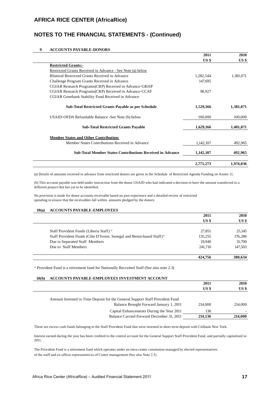## **NOTES TO THE FINANCIAL STATEMENTS - (Continued)**

#### **9 ACCOUNTS PAYABLE-DONORS**

|                                                                  | 2011            | 2010            |
|------------------------------------------------------------------|-----------------|-----------------|
|                                                                  | US <sub>5</sub> | US <sub>5</sub> |
| <b>Restricted Grants:-</b>                                       |                 |                 |
| Restricted Grants Received in Advance - See Note (a) below       |                 |                 |
| Bilateral Restricted Grants Received in Advance                  | 1,282,544       | 1,381,071       |
| Challenge Program Grants Received in Advance                     | 147,695         |                 |
| CGIAR Research Programs (CRP) Received in Advance-GRISP          |                 |                 |
| CGIAR Research Programs(CRP) Received in Advance-CCAF            | 98,927          |                 |
| CGIAR Genebank Stability Fund Received in Advance                |                 |                 |
| <b>Sub-Total Restricted Grants Payable as per Schedule</b>       | 1,529,166       | 1,381,071       |
| USAID-OFDA Refundable Balance -See Note (b) below                | 100,000         | 100,000         |
| <b>Sub-Total Restricted Grants Payable</b>                       | 1,629,166       | 1,481,071       |
| <b>Member States and Other Contribution:</b>                     |                 |                 |
| Member States Contributions Received in Advance                  | 1,142,107       | 492,965         |
| <b>Sub-Total Member States Contributions Received in Advance</b> | 1,142,107       | 492,965         |
|                                                                  | 2,771,273       | 1,974,036       |

(a) Details of amounts received in advance from restricted donors are given in the Schedule of Restricted Agenda Funding on Annex 11.

(b) This account payable was held under instruction from the donor USAID who had indicated a decision to have the amount transferred to a different project that has yet to be identified.

No provision is made for donor accounts receivable based on past experience and a detailed review of restricted spending to ensure that the receivables fall within amounts pledged by the donors.

#### **10(a) ACCOUNTS PAYABLE-EMPLOYEES**

|                                                                                    | 2011            | 2010            |
|------------------------------------------------------------------------------------|-----------------|-----------------|
|                                                                                    | US <sub>s</sub> | US <sub>s</sub> |
| Staff Provident Funds (Liberia Staff) <sup>a/</sup>                                | 27,851          | 25,145          |
| Staff Provident Funds (Côte D'Ivoire, Senegal and Benin-based Staff) <sup>a/</sup> | 135,255         | 176,286         |
| Due to Separated Staff Members                                                     | 19.940          | 31,700          |
| Due to Staff Members                                                               | 241,710         | 147,503         |
|                                                                                    | 424,756         | 380,634         |

a/ Provident Fund is a retirement fund for Nationally Recruited Staff (See also note 2.3)

#### **10(b) ACCOUNTS PAYABLE-EMPLOYEES INVESTMENT ACCOUNT**

|                                                                              | 2011            | 2010            |
|------------------------------------------------------------------------------|-----------------|-----------------|
|                                                                              | US <sub>s</sub> | US <sub>3</sub> |
|                                                                              |                 |                 |
| Amount Invested in Time Deposit for the General Support Staff Provident Fund |                 |                 |
| Balance Brought Forward January 1, 2011                                      | 214,000         | 214,000         |
| Capital Enhancements During the Year 2011                                    | 136             |                 |
| Balance Carried Forward December 31, 2011                                    | 214,136         | 214,000         |

These are excess cash funds belonging to the Staff Provident Fund that were invested in short term deposit with Citibank New York.

Interest earned during the year has been credited to the control account for the General Support Staff Provident Fund, and partially capitalized in 2011.

The Provident Fund is a retirement fund which operates under an intra-center consitution managed by elected representatives of the staff and ex-officio representatives of Center management (See also Note 2.3).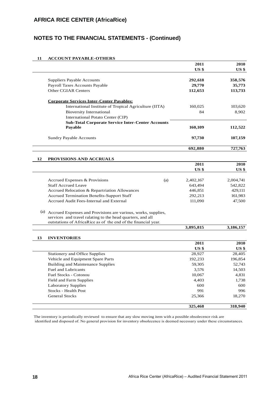## **NOTES TO THE FINANCIAL STATEMENTS - (Continued)**

#### **11 ACCOUNT PAYABLE-OTHERS**

| US <sub>3</sub>                                                      | US <sub>s</sub> |
|----------------------------------------------------------------------|-----------------|
|                                                                      |                 |
|                                                                      |                 |
| 292,618<br>Suppliers Payable Accounts                                | 358,576         |
| Payroll Taxes Accounts Payable<br>29,770                             | 35,773          |
| <b>Other CGIAR Centers</b><br>112,653                                | 113,733         |
| <b>Corporate Services Inter-Center Payables:</b>                     |                 |
| International Institute of Tropical Agriculture (IITA)<br>160,025    | 103,620         |
| <b>Bioversity International</b><br>84                                | 8,902           |
| International Potato Center (CIP)                                    |                 |
| <b>Sub-Total Corporate Service Inter-Center Accounts</b>             |                 |
| Payable<br>160,109                                                   | 112,522         |
| <b>Sundry Payable Accounts</b><br>97,730                             | 107,159         |
|                                                                      |                 |
| 692,880                                                              | 727,763         |
| 12<br>PROVISIONS AND ACCRUALS                                        |                 |
| 2011                                                                 | 2010            |
| US <sub>3</sub>                                                      | US <sub>3</sub> |
|                                                                      |                 |
| Accrued Expenses & Provisions<br>(a)<br>2,402,167                    | 2,004,741       |
| <b>Staff Accrued Leave</b><br>643,494                                | 542,822         |
| Accrued Relocation & Repartriation Allowances<br>446,851             | 429,111         |
| Accrued Termination Benefits-Support Staff<br>292,213                | 161,983         |
| Accrued Audit Fees-Internal and External<br>111,090                  | 47,500          |
| (a)<br>Accrued Expenses and Provisions are various, works, supplies, |                 |
| services and travel ralating to the head quarters, and all           |                 |
| outstations of AfricaRice as of the end of the financial year.       |                 |
| 3,895,815                                                            | 3,186,157       |
|                                                                      |                 |
| 13<br><b>INVENTORIES</b><br>2011                                     | 2010            |
| US <sub>3</sub>                                                      | US <sub>3</sub> |
| Stationery and Office Supplies<br>28,927                             | 28,405          |
| Vehicle and Equipment Spare Parts<br>192,233                         | 196,854         |
| <b>Building and Maintenance Supplies</b><br>59,305                   | 52,743          |
| <b>Fuel and Lubricants</b><br>3,576                                  | 14,503          |
| 10,067<br>Fuel Stocks - Cotonou                                      | 4,831           |
| Field and Farm Supplies<br>4,403                                     | 1,738           |
| <b>Laboratory Supplies</b><br>600                                    | 600             |
| Stocks - Health Post<br>991                                          | 996             |
| <b>General Stocks</b><br>25,366                                      | 18,270          |
| 325,468                                                              | 318,940         |

The inventory is periodically reviewed to ensure that any slow moving item with a possible obsolecence risk are

identified and disposed of. No general provision for inventory obsolecence is deemed necessary under these circumstances.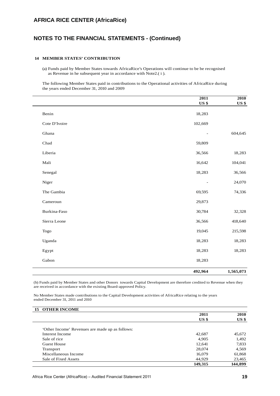## **NOTES TO THE FINANCIAL STATEMENTS - (Continued)**

#### **14 MEMBER STATES' CONTRIBUTION**

(a) Funds paid by Member States towards AfricaRice's Operations will continue to be be recognised as Revenue in he subsequent year in accordance with Note2.( i ).

The following Member States paid in contributions to the Operational activities of AfricaRice during the years ended December 31, 2010 and 2009

|               | 2011                     | 2010         |
|---------------|--------------------------|--------------|
|               | <b>US</b> \$             | <b>US \$</b> |
| Benin         | 18,283                   |              |
| Cote D'Ivoire | 102,669                  |              |
| Ghana         |                          | 604,645      |
| Chad          | 59,809                   |              |
| Liberia       | 36,566                   | 18,283       |
| Mali          | 16,642                   | 104,041      |
| Senegal       | 18,283                   | 36,566       |
| Niger         | $\overline{\phantom{a}}$ | 24,070       |
| The Gambia    | 69,595                   | 74,336       |
| Cameroun      | 29,873                   |              |
| Burkina-Faso  | 30,784                   | 32,328       |
| Sierra Leone  | 36,566                   | 418,640      |
| Togo          | 19,045                   | 215,598      |
| Uganda        | 18,283                   | 18,283       |
| Egypt         | 18,283                   | 18,283       |
| Gabon         | 18,283                   |              |
|               | 492,964                  | 1,565,073    |

(b) Funds paid by Member States and other Donors towards Capital Development are therefore credited to Revenue when they are received in accordance with the existing Board-approved Policy.

No Member States made contributions to the Capital Development activities of AfricaRice relating to the years ended December 31, 2011 and 2010

| <b>15 OTHER INCOME</b>                          |                 |                 |
|-------------------------------------------------|-----------------|-----------------|
|                                                 | 2011            | 2010            |
|                                                 | US <sub>s</sub> | US <sub>3</sub> |
| 'Other Income' Revenues are made up as follows: |                 |                 |
| Interest Income                                 | 42,687          | 45,672          |
| Sale of rice                                    | 4,905           | 1,492           |
| Guest House                                     | 12,641          | 7,833           |
| Transport                                       | 28,074          | 4,569           |
| Miscellaneous Income                            | 16,079          | 61,868          |
| Sale of Fixed Assets                            | 44,929          | 23,465          |
|                                                 | 149,315         | 144.899         |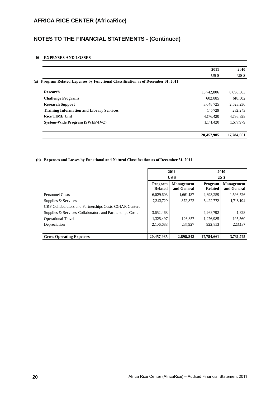## **NOTES TO THE FINANCIAL STATEMENTS - (Continued)**

#### **16 EXPENSES AND LOSSES**

|                                                                                      | 2011            | 2010            |
|--------------------------------------------------------------------------------------|-----------------|-----------------|
|                                                                                      | US <sub>s</sub> | US <sub>s</sub> |
| Program Related Expenses by Functional Classification as of December 31, 2011<br>(a) |                 |                 |
| <b>Research</b>                                                                      | 10.742,806      | 8,096,303       |
| <b>Challenge Programs</b>                                                            | 602,885         | 618,502         |
| <b>Research Support</b>                                                              | 3,648,725       | 2,523,236       |
| <b>Training Information and Library Services</b>                                     | 145,729         | 232,243         |
| <b>Rice TIME Unit</b>                                                                | 4,176,420       | 4,736,398       |
| System-Wide Program (SWEP-IVC)                                                       | 1,141,420       | 1,577,979       |
|                                                                                      | 20,457,985      | 17,784,661      |

#### (b) **Expenses and Losses by Functional and Natural Classification as of December 31, 2011**

|                                                               | 2011                      |                                  | 2010                      |                                  |
|---------------------------------------------------------------|---------------------------|----------------------------------|---------------------------|----------------------------------|
|                                                               |                           | USS                              |                           | USS                              |
|                                                               | Program<br><b>Related</b> | <b>Management</b><br>and General | Program<br><b>Related</b> | <b>Management</b><br>and General |
| Personnel Costs                                               | 6,029,603                 | 1,661,187                        | 4,893,259                 | 1,593,526                        |
| Supplies & Services                                           | 7,343,729                 | 872,872                          | 6.422.772                 | 1,718,194                        |
| <b>CRP Collaborators and Partnerships Costs-CGIAR Centers</b> |                           |                                  |                           |                                  |
| Supplies & Services-Collaborators and Partnerships Costs      | 3,652,468                 |                                  | 4,268,792                 | 1,328                            |
| <b>Operational Travel</b>                                     | 1,325,497                 | 126,857                          | 1,276,985                 | 195,560                          |
| Depreciation                                                  | 2,106,688                 | 237,927                          | 922,853                   | 223,137                          |
|                                                               |                           |                                  |                           |                                  |
| <b>Gross Operating Expenses</b>                               | 20,457,985                | 2,898,843                        | 17,784,661                | 3,731,745                        |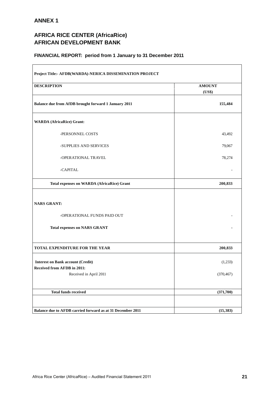## **ANNEX 1**

## **AFRICA RICE CENTER (AfricaRice) AFRICAN DEVELOPMENT BANK**

## **FINANCIAL REPORT: period from 1 January to 31 December 2011**

| Project Title:- AFDB(WARDA)-NERICA DISSEMINATION PROJECT                                          |                         |
|---------------------------------------------------------------------------------------------------|-------------------------|
| <b>DESCRIPTION</b>                                                                                | <b>AMOUNT</b><br>(US\$) |
| Balance due from AfDB brought forward 1 January 2011                                              | 155,484                 |
| <b>WARDA</b> (AfricaRice) Grant:                                                                  |                         |
| -PERSONNEL COSTS                                                                                  | 43,492                  |
| -SUPPLIES AND SERVICES                                                                            | 79,067                  |
| -OPERATIONAL TRAVEL                                                                               | 78,274                  |
| -CAPITAL                                                                                          |                         |
| <b>Total expenses on WARDA (AfricaRice) Grant</b>                                                 | 200,833                 |
| <b>NARS GRANT:</b><br>-OPERATIONAL FUNDS PAID OUT                                                 |                         |
| <b>Total expenses on NARS GRANT</b>                                                               |                         |
| <b>TOTAL EXPENDITURE FOR THE YEAR</b>                                                             | 200,833                 |
| <b>Interest on Bank account (Credit)</b><br>Received from AFDB in 2011:<br>Received in April 2011 | (1,233)<br>(370, 467)   |
| <b>Total funds received</b>                                                                       | (371,700)               |
| Balance due to AFDB carried forward as at 31 December 2011                                        | (15, 383)               |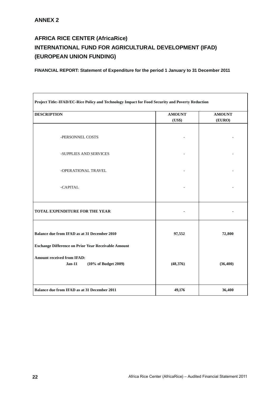## **AFRICA RICE CENTER (AfricaRice) INTERNATIONAL FUND FOR AGRICULTURAL DEVELOPMENT (IFAD) (EUROPEAN UNION FUNDING)**

| Project Title:-IFAD/EC-Rice Policy and Technology Impact for Food Security and Poverty Reduction           |               |               |
|------------------------------------------------------------------------------------------------------------|---------------|---------------|
| <b>DESCRIPTION</b>                                                                                         | <b>AMOUNT</b> | <b>AMOUNT</b> |
|                                                                                                            | (US\$)        | (EURO)        |
| -PERSONNEL COSTS                                                                                           |               |               |
| -SUPPLIES AND SERVICES                                                                                     |               |               |
| -OPERATIONAL TRAVEL                                                                                        |               |               |
| -CAPITAL                                                                                                   |               |               |
| <b>TOTAL EXPENDITURE FOR THE YEAR</b>                                                                      |               |               |
| Balance due from IFAD as at 31 December 2010<br><b>Exchange Difference on Prior Year Receivable Amount</b> | 97,552        | 72,800        |
| <b>Amount received from IFAD:</b><br>$Jan-11$<br>(10% of Budget 2009)                                      | (48, 376)     | (36, 400)     |
| Balance due from IFAD as at 31 December 2011                                                               | 49,176        | 36,400        |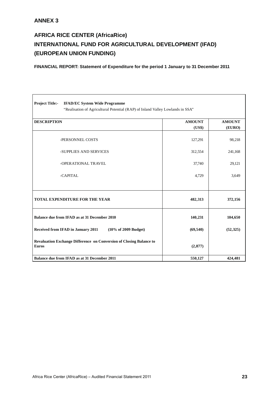## **ANNEX 3**

# **AFRICA RICE CENTER (AfricaRice) INTERNATIONAL FUND FOR AGRICULTURAL DEVELOPMENT (IFAD) (EUROPEAN UNION FUNDING)**

| <b>Project Title:-</b><br><b>IFAD/EC System Wide Programme</b><br>"Realisation of Agricultural Potential (RAP) of Inland Valley Lowlands in SSA" |                         |                         |
|--------------------------------------------------------------------------------------------------------------------------------------------------|-------------------------|-------------------------|
| <b>DESCRIPTION</b>                                                                                                                               | <b>AMOUNT</b><br>(US\$) | <b>AMOUNT</b><br>(EURO) |
| -PERSONNEL COSTS                                                                                                                                 | 127,291                 | 98,218                  |
| -SUPPLIES AND SERVICES                                                                                                                           | 312,554                 | 241,168                 |
| -OPERATIONAL TRAVEL                                                                                                                              | 37,740                  | 29,121                  |
| -CAPITAL                                                                                                                                         | 4,729                   | 3,649                   |
|                                                                                                                                                  |                         |                         |
| <b>TOTAL EXPENDITURE FOR THE YEAR</b>                                                                                                            | 482,313                 | 372,156                 |
| Balance due from IFAD as at 31 December 2010                                                                                                     | 140,231                 | 104,650                 |
| Received from IFAD in January 2011<br>(10% of 2009 Budget)                                                                                       | (69, 540)               | (52, 325)               |
| Revaluation Exchange Difference on Conversion of Closing Balance to<br><b>Euros</b>                                                              | (2,877)                 |                         |
| Balance due from IFAD as at 31 December 2011                                                                                                     | 550,127                 | 424,481                 |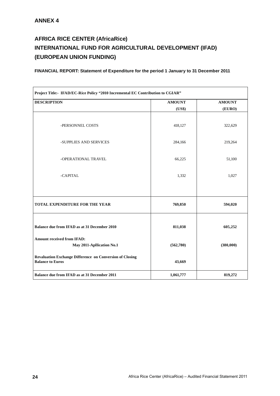## **AFRICA RICE CENTER (AfricaRice) INTERNATIONAL FUND FOR AGRICULTURAL DEVELOPMENT (IFAD) (EUROPEAN UNION FUNDING)**

| Project Title:- IFAD/EC-Rice Policy "2010 Incremental EC Contribution to CGIAR"            |               |               |  |  |
|--------------------------------------------------------------------------------------------|---------------|---------------|--|--|
| <b>DESCRIPTION</b>                                                                         | <b>AMOUNT</b> | <b>AMOUNT</b> |  |  |
|                                                                                            | (US\$)        | (EURO)        |  |  |
| -PERSONNEL COSTS                                                                           | 418,127       | 322,629       |  |  |
| -SUPPLIES AND SERVICES                                                                     | 284,166       | 219,264       |  |  |
| -OPERATIONAL TRAVEL                                                                        | 66,225        | 51,100        |  |  |
| -CAPITAL                                                                                   | 1,332         | 1,027         |  |  |
| TOTAL EXPENDITURE FOR THE YEAR                                                             | 769,850       | 594,020       |  |  |
| Balance due from IFAD as at 31 December 2010                                               | 811,038       | 605,252       |  |  |
| <b>Amount received from IFAD:</b><br>May 2011-Apllication No.1                             | (562,780)     | (380,000)     |  |  |
| <b>Revaluation Exchange Difference on Conversion of Closing</b><br><b>Balance to Euros</b> | 43,669        |               |  |  |
| Balance due from IFAD as at 31 December 2011                                               | 1,061,777     | 819,272       |  |  |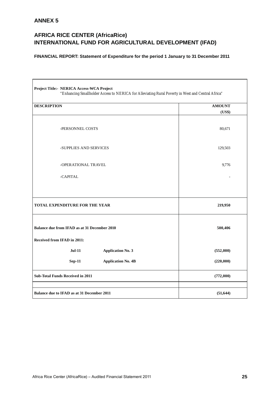## **ANNEX 5**

## **AFRICA RICE CENTER (AfricaRice) INTERNATIONAL FUND FOR AGRICULTURAL DEVELOPMENT (IFAD)**

| Project Title:- NERICA Access-WCA Project<br>"Enhancing Smallholder Access to NERICA for Alleviating Rural Poverty in West and Central Africa" |               |
|------------------------------------------------------------------------------------------------------------------------------------------------|---------------|
| <b>DESCRIPTION</b>                                                                                                                             | <b>AMOUNT</b> |
|                                                                                                                                                | (US\$)        |
| -PERSONNEL COSTS                                                                                                                               | 80,671        |
| -SUPPLIES AND SERVICES                                                                                                                         | 129,503       |
| -OPERATIONAL TRAVEL                                                                                                                            | 9,776         |
| -CAPITAL                                                                                                                                       |               |
| <b>TOTAL EXPENDITURE FOR THE YEAR</b>                                                                                                          | 219,950       |
| Balance due from IFAD as at 31 December 2010<br><b>Received from IFAD in 2011:</b>                                                             | 500,406       |
| <b>Jul-11</b><br><b>Application No. 3</b>                                                                                                      | (552,000)     |
| <b>Sep-11</b><br><b>Application No. 4B</b>                                                                                                     | (220,000)     |
| <b>Sub-Total Funds Received in 2011</b>                                                                                                        | (772,000)     |
|                                                                                                                                                |               |
| Balance due to IFAD as at 31 December 2011                                                                                                     | (51, 644)     |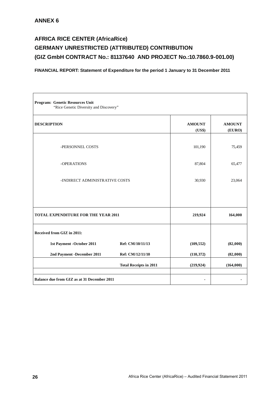## **AFRICA RICE CENTER (AfricaRice) GERMANY UNRESTRICTED (ATTRIBUTED) CONTRIBUTION (GIZ GmbH CONTRACT No.: 81137640 AND PROJECT No.:10.7860.9-001.00)**

| Program: Genetic Resources Unit<br>"Rice Genetic Diversity and Discovery" |                               |                         |                         |  |  |  |  |
|---------------------------------------------------------------------------|-------------------------------|-------------------------|-------------------------|--|--|--|--|
| <b>DESCRIPTION</b>                                                        |                               | <b>AMOUNT</b><br>(US\$) | <b>AMOUNT</b><br>(EURO) |  |  |  |  |
| -PERSONNEL COSTS                                                          |                               | 101,190                 | 75,459                  |  |  |  |  |
| -OPERATIONS                                                               | 87,804                        | 65,477                  |                         |  |  |  |  |
| -INDIRECT ADMINISTRATIVE COSTS                                            |                               | 30,930                  | 23,064                  |  |  |  |  |
|                                                                           |                               |                         |                         |  |  |  |  |
| <b>TOTAL EXPENDITURE FOR THE YEAR 2011</b>                                |                               | 219,924                 | 164,000                 |  |  |  |  |
| Received from GIZ in 2011:                                                |                               |                         |                         |  |  |  |  |
| 1st Payment - October 2011                                                | Ref: CM/10/11/13              | (109, 552)              | (82,000)                |  |  |  |  |
| 2nd Payment -December 2011                                                | Ref: CM/12/11/10              | (110, 372)              | (82,000)                |  |  |  |  |
|                                                                           | <b>Total Receipts in 2011</b> | (219, 924)              | (164,000)               |  |  |  |  |
| Balance due from GIZ as at 31 December 2011                               |                               |                         |                         |  |  |  |  |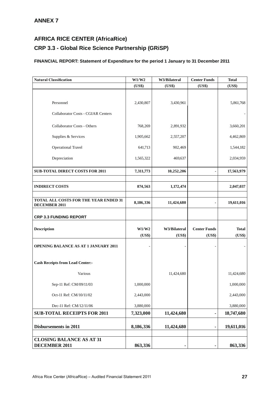## **CRP 3.3 - Global Rice Science Partnership (GRiSP)**

| <b>Natural Classification</b>                                 | W1/W2     | W3/Bilateral | <b>Center Funds</b> | <b>Total</b> |
|---------------------------------------------------------------|-----------|--------------|---------------------|--------------|
|                                                               | (US\$)    | (US\$)       | (US\$)              | (US\$)       |
|                                                               |           |              |                     |              |
| Personnel                                                     | 2,430,807 | 3,430,961    |                     | 5,861,768    |
| <b>Collaborator Costs - CGIAR Centers</b>                     |           |              |                     |              |
| <b>Collaborator Costs - Others</b>                            | 768,269   | 2,891,932    |                     | 3,660,201    |
| Supplies & Services                                           | 1,905,662 | 2,557,207    |                     | 4,462,869    |
| <b>Operational Travel</b>                                     | 641,713   | 902,469      |                     | 1,544,182    |
| Depreciation                                                  | 1,565,322 | 469,637      |                     | 2,034,959    |
| <b>SUB-TOTAL DIRECT COSTS FOR 2011</b>                        | 7,311,773 | 10,252,206   |                     | 17,563,979   |
|                                                               |           |              |                     |              |
| <b>INDIRECT COSTS</b>                                         | 874,563   | 1,172,474    |                     | 2,047,037    |
|                                                               |           |              |                     |              |
| TOTAL ALL COSTS FOR THE YEAR ENDED 31<br><b>DECEMBER 2011</b> | 8,186,336 | 11,424,680   |                     | 19,611,016   |
| <b>CRP 3.3 FUNDING REPORT</b>                                 |           |              |                     |              |
| <b>Description</b>                                            | W1/W2     | W3/Bilateral | <b>Center Funds</b> | <b>Total</b> |
|                                                               | (US\$)    | (US\$)       | (US\$)              | (US\$)       |
| OPENING BALANCE AS AT 1 JANUARY 2011                          |           |              |                     |              |
| <b>Cash Receipts from Lead Center:-</b>                       |           |              |                     |              |
| Various                                                       |           | 11,424,680   |                     | 11,424,680   |
| Sep-11 Ref: CM/09/11/03                                       | 1,000,000 |              |                     | 1,000,000    |
| Oct-11 Ref: CM/10/11/02                                       | 2,443,000 |              |                     | 2,443,000    |
| Dec-11 Ref: CM/12/11/06                                       | 3,880,000 |              |                     | 3,880,000    |
| <b>SUB-TOTAL RECEIPTS FOR 2011</b>                            | 7,323,000 | 11,424,680   |                     | 18,747,680   |
| <b>Disbursements in 2011</b>                                  | 8,186,336 | 11,424,680   |                     | 19,611,016   |
|                                                               |           |              |                     |              |
| <b>CLOSING BALANCE AS AT 31</b><br><b>DECEMBER 2011</b>       | 863,336   |              |                     | 863,336      |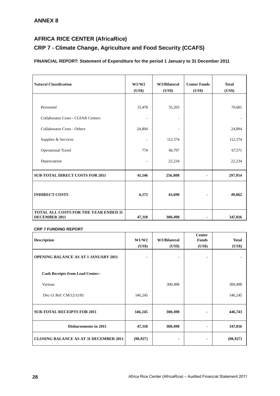## **CRP 7 - Climate Change, Agriculture and Food Security (CCAFS)**

## **FINANCIAL REPORT: Statement of Expenditure for the period 1 January to 31 December 2011**

| <b>Natural Classification</b>                                 | W1/W2<br>(US\$) | W3/Bilateral<br>(US\$) | <b>Center Funds</b><br>(US\$) | <b>Total</b><br>(US\$) |
|---------------------------------------------------------------|-----------------|------------------------|-------------------------------|------------------------|
| Personnel                                                     | 15,478          | 55,203                 |                               | 70,681                 |
| <b>Collaborator Costs - CGIAR Centers</b>                     |                 |                        |                               |                        |
| <b>Collaborator Costs - Others</b>                            | 24,894          |                        |                               | 24,894                 |
| Supplies & Services                                           |                 | 112,574                |                               | 112,574                |
| <b>Operational Travel</b>                                     | 774             | 66,797                 |                               | 67,571                 |
| Depreciation                                                  |                 | 22,234                 |                               | 22,234                 |
| <b>SUB-TOTAL DIRECT COSTS FOR 2011</b>                        | 41,146          | 256,808                |                               | 297,954                |
| <b>INDIRECT COSTS</b>                                         | 6,172           | 43,690                 | $\blacksquare$                | 49,862                 |
| TOTAL ALL COSTS FOR THE YEAR ENDED 31<br><b>DECEMBER 2011</b> | 47,318          | 300,498                |                               | 347,816                |

#### **CRP 7 FUNDING REPORT**

|                                               |           |              | <b>Center</b> |              |
|-----------------------------------------------|-----------|--------------|---------------|--------------|
| <b>Description</b>                            | W1/W2     | W3/Bilateral | <b>Funds</b>  | <b>Total</b> |
|                                               | (US\$)    | (US\$)       | (US\$)        | (US\$)       |
| <b>OPENING BALANCE AS AT 1 JANUARY 2011</b>   |           |              |               |              |
| <b>Cash Receipts from Lead Center:-</b>       |           |              |               |              |
| Various                                       |           | 300,498      |               | 300,498      |
| Dec-11 Ref: CM/12/11/01                       | 146,245   |              |               | 146,245      |
| <b>SUB-TOTAL RECEIPTS FOR 2011</b>            | 146,245   | 300,498      |               | 446,743      |
| <b>Disbursements in 2011</b>                  | 47,318    | 300,498      |               | 347,816      |
| <b>CLOSING BALANCE AS AT 31 DECEMBER 2011</b> | (98, 927) |              |               | (98, 927)    |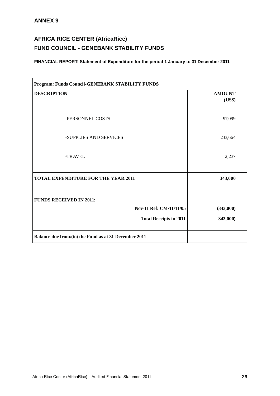## **AFRICA RICE CENTER (AfricaRice) FUND COUNCIL - GENEBANK STABILITY FUNDS**

| Program: Funds Council-GENEBANK STABILITY FUNDS           |               |  |  |
|-----------------------------------------------------------|---------------|--|--|
| <b>DESCRIPTION</b>                                        | <b>AMOUNT</b> |  |  |
|                                                           | (US\$)        |  |  |
| -PERSONNEL COSTS                                          | 97,099        |  |  |
| -SUPPLIES AND SERVICES                                    | 233,664       |  |  |
| -TRAVEL                                                   | 12,237        |  |  |
| <b>TOTAL EXPENDITURE FOR THE YEAR 2011</b>                | 343,000       |  |  |
| <b>FUNDS RECEIVED IN 2011:</b><br>Nov-11 Ref: CM/11/11/05 | (343,000)     |  |  |
| <b>Total Receipts in 2011</b>                             | 343,000)      |  |  |
|                                                           |               |  |  |
| Balance due from/(to) the Fund as at 31 December 2011     |               |  |  |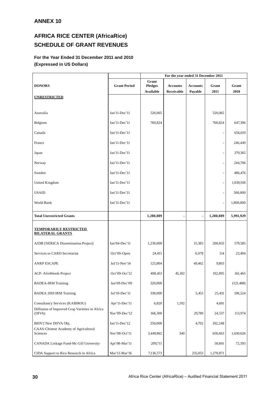## **AFRICA RICE CENTER (AfricaRice) SCHEDULE OF GRANT REVENUES**

## **For the Year Ended 31 December 2011 and 2010 (Expressed in US Dollars)**

|                                                          |                     |                                      | For the year ended 31 December 2011 |                            |               |               |
|----------------------------------------------------------|---------------------|--------------------------------------|-------------------------------------|----------------------------|---------------|---------------|
| <b>DONORS</b>                                            | <b>Grant Period</b> | Grant<br><b>Pledges</b><br>Available | <b>Accounts</b><br>Receivable       | <b>Accounts</b><br>Payable | Grant<br>2011 | Grant<br>2010 |
| <b>UNRESTRICTED</b>                                      |                     |                                      |                                     |                            |               |               |
| Australia                                                | Jan'11-Dec'11       | 520,065                              |                                     |                            | 520,065       |               |
| Belgium                                                  | Jan'11-Dec'11       | 760,824                              |                                     |                            | 760,824       | 647,396       |
| Canada                                                   | Jan'11-Dec'11       |                                      |                                     |                            |               | 656,619       |
| France                                                   | Jan'11-Dec'11       |                                      |                                     |                            |               | 246,449       |
| Japan                                                    | Jan'11-Dec'11       |                                      |                                     |                            |               | 379,365       |
| Norway                                                   | Jan'11-Dec'11       |                                      |                                     |                            |               | 244,706       |
| Sweden                                                   | Jan'11-Dec'11       |                                      |                                     |                            |               | 486,476       |
| United Kingdom                                           | Jan'11-Dec'11       |                                      |                                     |                            |               | 1,030,918     |
| <b>USAID</b>                                             | Jan'11-Dec'11       |                                      |                                     |                            |               | 500,000       |
| World Bank                                               | Jan'11-Dec'11       |                                      |                                     |                            |               | 1,800,000     |
| <b>Total Unrestricted Grants</b>                         |                     | 1,280,889                            |                                     | ٠                          | 1,280,889     | 5,991,929     |
| <b>TEMPORARILY RESTRICTED</b><br><b>BILATERAL GRANTS</b> |                     |                                      |                                     |                            |               |               |
| AfDB (NERICA Dissemination Project)                      | Jan'04-Dec'11       | 1,230,000                            |                                     | 15,383                     | 200,833       | 579,585       |
| Services to CARD Secretariat                             | Oct'09-Open         | 24,415                               |                                     | 6,978                      | 114           | 23,494        |
| <b>ANRP ESCAPE</b>                                       | Jul'11-Nov'14       | 125,804                              |                                     | 49,462                     | 9,803         |               |
| ACP- AfroWeeds Project                                   | Oct'09-Oct'12       | 408,453                              | 45,182                              |                            | 102,895       | 161,465       |
| <b>BADEA-IRM Training</b>                                | $Jan'09-Dec'09$     | 320,000                              |                                     |                            |               | (121, 488)    |
| BADEA 2010 IRM Training                                  | Jul'10-Dec'11       | 330,000                              |                                     | 5,453                      | 25,431        | 196,524       |
| <b>Consultancy Services (KABIROU)</b>                    | Apr'11-Dec'11       | 6,820                                | 1,192                               |                            | 4,691         |               |
| Diffusion of Improved Crop Varieties in Africa<br>(DIVA) | Nov'09-Dec'12       | 168,300                              |                                     | 29,789                     | 24,537        | 113,974       |
| BIOV2 New DIIVA Obj.                                     | Jan'11-Dec'12       | 250,000                              |                                     | 4,702                      | 102,248       |               |
| CAAS-Chinese Academy of Agricultural<br>Sciences         | Nov'08-Oct'11       | 3,449,862                            | 340                                 |                            | 650,663       | 1,630,626     |
| CANADA Linkage Fund-Mc Gill University                   | Apr'08-Mar'11       | 209,711                              |                                     |                            | 50,601        | 72,593        |
| CIDA Support to Rice Research in Africa                  | Mar'11-Mar'16       | 7,136,573                            |                                     | 255,053                    | 1,270,871     |               |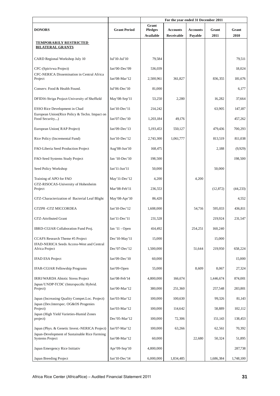|                                                                         |                     | For the year ended 31 December 2011 |                 |                 |           |           |
|-------------------------------------------------------------------------|---------------------|-------------------------------------|-----------------|-----------------|-----------|-----------|
| <b>DONORS</b>                                                           | <b>Grant Period</b> | Grant<br><b>Pledges</b>             | <b>Accounts</b> | <b>Accounts</b> | Grant     | Grant     |
|                                                                         |                     | Available                           | Receivable      | Payable         | 2011      | 2010      |
| <b>TEMPORARILY RESTRICTED</b><br><b>BILATERAL GRANTS</b>                |                     |                                     |                 |                 |           |           |
| CARD Regional Workshop July 10                                          | Jul'10-Jul'10       | 79,584                              |                 |                 |           | 79,511    |
| CFC-(Spirivwa Project)<br>CFC-NERICA Dissemination in Central Africa    | Jan'00-Dec'09       | 536,039                             |                 |                 |           | 18,024    |
| Project                                                                 | Jan'08-Mar'12       | 2,500,961                           | 361,827         |                 | 836,355   | 181,676   |
| Conserv. Food & Health Found.                                           | Jul'06-Dec'10       | 81,000                              |                 |                 |           | 6,177     |
| DFID16-Striga Project-University of Sheffield                           | May'08-Sep'11       | 53,250                              | 2,280           |                 | 16,282    | 37,664    |
| ESSO Rice Development in Chad                                           | Jan'10-Dec'11       | 214,242                             |                 |                 | 63,905    | 147,187   |
| European Union(Rice Policy & Techn. Impact on<br>Food Security)         | Jan'07-Dec'10       | 1,203,184                           | 49,176          |                 |           | 457,262   |
| European Union(RAP Project)                                             | Jan'09-Dec'13       | 5,193,453                           | 550,127         |                 | 479,436   | 700,293   |
| Rice Policy (Incremental Fund)                                          | Jun'10-Dec'12       | 2,743,300                           | 1,061,777       |                 | 813,519   | 811,038   |
| FAO-Liberia Seed Production Project                                     | Aug'08-Jun'10       | 168,475                             |                 |                 | 2,188     | (9,929)   |
| FAO-Seed Systems Study Project                                          | Jan '10-Dec'10      | 198,500                             |                 |                 |           | 198,500   |
| Seed Policy Workshop                                                    | Jan'11-Jun'11       | 50,000                              |                 |                 | 50,000    |           |
| Training of APO for FAO                                                 | May'11-Dec'12       | 4,200                               |                 | 4,200           |           |           |
| GTZ-RISOCAS-University of Hohenheim<br>Project                          | Mar'08-Feb'11       | 236,553                             |                 |                 | (12, 872) | (44, 233) |
| GTZ-Characterization of Bacterial Leaf Blight                           | May'08-Apr'10       | 86,420                              |                 |                 |           | 4,552     |
| GTZP8 - GTZ MICCORDEA                                                   | Jan'10-Dec'12       | 1,608,000                           |                 | 54,716          | 595,033   | 436,811   |
| GTZ-Attributed Grant                                                    | Jan'11-Dec'11       | 231,528                             |                 |                 | 219,924   | 231,547   |
| IBRD-CGIAR Collaboration Fund Proj.                                     | Jan '11 - Open      | 414,492                             |                 | 254,251         | 160,240   |           |
| CCAFS Research Theme #5 Project                                         | Dec'10-May'11       | 15,000                              |                 |                 | 15,000    |           |
| IFAD-NERICA Seeds Access-West and Central<br>Africa Project             | Dec'07-Dec'12       | 1,500,000                           |                 | 51,644          | 219,950   | 658,224   |
| <b>IFAD ESA Project</b>                                                 | Jan'09-Dec'10       | 60,000                              |                 |                 |           | 15,000    |
| <b>IFAR-CGIAR Fellowship Programs</b>                                   | Jan'09-Open         | 55,000                              |                 | 8,609           | 8,067     | 27,324    |
| <b>IRRI/WARDA Abiotic Stress Project</b>                                | Jan'08-Feb'14       | 4,800,000                           | 166,674         |                 | 1,446,674 | 874,001   |
| Japan/UNDP-TCDC (Interspecific Hybrid.<br>Project)                      | Jan'00-Mar'12       | 380,000                             | 251,360         |                 | 257,548   | 283,801   |
| Japan (Increasing Quality Compet.Loc. Project)                          | Jan'03-Mar'12       | 100,000                             | 100,630         |                 | 99,326    | 81,143    |
| Japan (Dev.Interspec. OG&OS Progenies<br>Project)                       | Jan'03-Mar'12       | 100,000                             | 114,642         |                 | 58,889    | 102,112   |
| Japan (High Yield Varieties-Humid Zones<br>project)                     | Dec'05-Mar'12       | 100,000                             | 72,306          |                 | 151,143   | 138,453   |
| Japan (Phys. & Genetic Invest.-NERICA Project)                          | Jan'07-Mar'12       | 100,000                             | 63,266          |                 | 62,561    | 70,392    |
| Japan-Development of Sustainable Rice Farming<br><b>Systems Project</b> | Jan'08-Mar'12       | 60,000                              |                 | 22,680          | 50,324    | 51,895    |
| Japan Emergency Rice Initiativ                                          | Apr'09-Sep'10       | 4,800,000                           |                 |                 |           | 287,738   |
| Japan Breeding Project                                                  | Jan'10-Dec'14       | 6,000,000                           | 1,834,485       |                 | 1,686,384 | 1,748,100 |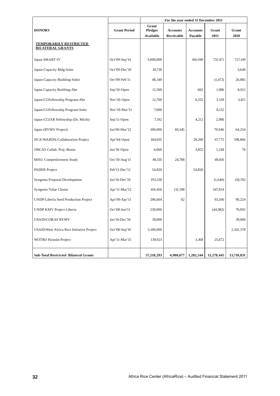|                                                          |                     | For the year ended 31 December 2011 |                 |                 |            |            |
|----------------------------------------------------------|---------------------|-------------------------------------|-----------------|-----------------|------------|------------|
| <b>DONORS</b>                                            | <b>Grant Period</b> | Grant<br><b>Pledges</b>             | <b>Accounts</b> | <b>Accounts</b> | Grant      | Grant      |
|                                                          |                     | Available                           | Receivable      | Payable         | 2011       | 2010       |
| <b>TEMPORARILY RESTRICTED</b><br><b>BILATERAL GRANTS</b> |                     |                                     |                 |                 |            |            |
| Japan SMART IV                                           | Oct'09-Sep'14       | 3,000,000                           |                 | 416,949         | 731,471    | 727,149    |
| Japan-Capacity Bldg-Saito                                | Oct'09-Dec'10       | 10,730                              |                 |                 |            | 3,640      |
| Japan-Capacity Building-Sokei                            | Oct'09-Feb'11       | 48,349                              |                 |                 | (1, 472)   | 26,885     |
| Japan Capacity Building-Abe                              | Sep'10-Open         | 11,500                              |                 | 602             | 1,986      | 8,912      |
| Japan/CGFellowship Program-Abe                           | Nov'10-Open         | 12,700                              |                 | 6,552           | 3,539      | 3,415      |
| Japan/CGFellowship Program-Saito                         | Nov'10-Mar'11       | 7,000                               |                 |                 | 8,152      |            |
| Japan-CGIAR Fellowship (Dr. Michi)                       | Sep'11-Open         | 7,192                               |                 | 4,212           | 2,980      |            |
| Japan (RYMV Project)                                     | Jan'00-Mar'12       | 100,000                             | 69,345          |                 | 70,946     | 64,254     |
| JICA/WARDA-Collaboration Project                         | Apr'04-Open         | 164,035                             |                 | 29,269          | 67,772     | 198,866    |
| JIRCAS Collab. Proj.-Benin                               | Jun'10-Open         | 4,000                               |                 | 3,852           | 1,248      | 78         |
| MISU Competitiveness Study                               | Oct'10-Aug'11       | 49,335                              | 24,788          |                 | 49,456     |            |
| <b>PADER</b> Project                                     | Feb'11-Dec'12       | 54,820                              |                 | 54,820          |            |            |
| Syngenta Proposal Development                            | Jan'10-Dec'10       | 193,530                             |                 |                 | (1,640)    | 118,702    |
| Syngenta Value Chains                                    | Apr'11-Mar'12       | 416,456                             | 131,198         |                 | 547,654    |            |
| <b>UNDP-Liberia Seed Production Project</b>              | Apr'09-Apr'11       | 296,604                             | 82              |                 | 93,100     | 90,224     |
| UNDP KMV Project Liberia                                 | Oct'08-Jun'11       | 230,000                             |                 |                 | (44,982)   | 76,092     |
| <b>USAID/CORAF RYMV</b>                                  | Jan'10-Dec'10       | 39,000                              |                 |                 |            | 39,000     |
| USAID: West Africa Rice Initiative Project               | Oct'08-Sep'10       | 5,100,000                           |                 |                 |            | 2,102,578  |
| <b>WOTRO</b> Parasite Project                            | Apr'11-Mar'15       | 139,923                             |                 | 3,368           | 25,672     |            |
| <b>Sub-Total Restricted Bilateral Grants</b>             |                     | 57,218,293                          | 4,900,677       | 1,282,544       | 11,278,445 | 13,710,831 |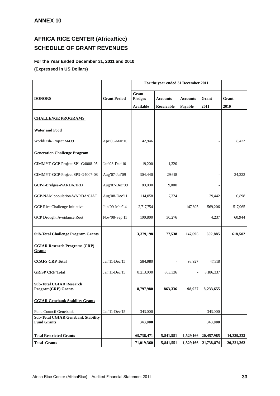## **AFRICA RICE CENTER (AfricaRice) SCHEDULE OF GRANT REVENUES**

## **For the Year Ended December 31, 2011 and 2010 (Expressed in US Dollars)**

|                                                                 |                     |                         | For the year ended 31 December 2011 |                 |            |            |
|-----------------------------------------------------------------|---------------------|-------------------------|-------------------------------------|-----------------|------------|------------|
| <b>DONORS</b>                                                   | <b>Grant Period</b> | Grant<br><b>Pledges</b> | <b>Accounts</b>                     | <b>Accounts</b> | Grant      | Grant      |
|                                                                 |                     | <b>Available</b>        | Receivable                          | Payable         | 2011       | 2010       |
|                                                                 |                     |                         |                                     |                 |            |            |
| <b>CHALLENGE PROGRAMS</b>                                       |                     |                         |                                     |                 |            |            |
| <b>Water and Food</b>                                           |                     |                         |                                     |                 |            |            |
| WorldFish-Project M439                                          | Apr'05-Mar'10       | 42,946                  |                                     |                 |            | 8.472      |
| <b>Generation Challenge Program</b>                             |                     |                         |                                     |                 |            |            |
| CIMMYT-GCP-Project SP1-G4008-05                                 | Jan'08-Dec'10       | 19,200                  | 1,320                               |                 |            |            |
| CIMMYT-GCP-Project SP3-G4007-08                                 | Aug'07-Jul'09       | 304,440                 | 29,618                              |                 |            | 24,223     |
| GCP-I-Bridges-WARDA/IRD                                         | Aug'07-Dec'09       | 80,000                  | 9,000                               |                 |            |            |
| GCP-NAM population-WARDA/CIAT                                   | Aug'08-Dec'11       | 114,058                 | 7,324                               |                 | 29,442     | 6,898      |
| GCP Rice Challenge Initiative                                   | Jun'09-Mar'14       | 2,717,754               |                                     | 147,695         | 569,206    | 517,965    |
| <b>GCP Drought Avoidance Root</b>                               | Nov'08-Sep'11       | 100,800                 | 30,276                              |                 | 4,237      | 60,944     |
| <b>Sub-Total Challenge Program Grants</b>                       |                     | 3,379,198               | 77,538                              | 147,695         | 602,885    | 618,502    |
| <b>CGIAR Research Programs (CRP)</b><br><b>Grants</b>           |                     |                         |                                     |                 |            |            |
| <b>CCAFS CRP Total</b>                                          | Jan'11-Dec'15       | 584,980                 |                                     | 98,927          | 47,318     |            |
| <b>GRISP CRP Total</b>                                          | Jan'11-Dec'15       | 8,213,000               | 863,336                             |                 | 8,186,337  |            |
| <b>Sub-Total CGIAR Research</b><br><b>Program(CRP)</b> Grants   |                     | 8,797,980               | 863,336                             | 98,927          | 8,233,655  |            |
| <b>CGIAR Genebank Stability Grants</b>                          |                     |                         |                                     |                 |            |            |
| Fund Council Genebank                                           | Jan'11-Dec'15       | 343,000                 |                                     | $\overline{a}$  | 343,000    |            |
| <b>Sub-Total CGIAR Genebank Stability</b><br><b>Fund Grants</b> |                     | 343,000                 |                                     |                 | 343,000    |            |
|                                                                 |                     |                         |                                     |                 |            |            |
| <b>Total Restricted Grants</b>                                  |                     | 69,738,471              | 5,841,551                           | 1,529,166       | 20,457,985 | 14,329,333 |
| <b>Total Grants</b>                                             |                     | 71,019,360              | 5,841,551                           | 1,529,166       | 21,738,874 | 20,321,262 |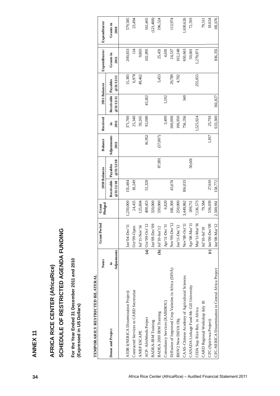| For the Year Ended 31 December 2011 and 2010<br>TEMPORARILY RESTRICTED BILATERAL<br>(Expressed in US Dollars) |                             |                                          |                  |                         |                       |                     |            |                         |                       |                   |                   |
|---------------------------------------------------------------------------------------------------------------|-----------------------------|------------------------------------------|------------------|-------------------------|-----------------------|---------------------|------------|-------------------------|-----------------------|-------------------|-------------------|
|                                                                                                               | <b>Notes</b>                | <b>Grant Period</b>                      | Pledged<br>Grant | 2010 Balances           |                       | <b>Balance</b>      | Received   | 2011 Balances           |                       | Expenditures/     | Expenditures/     |
| Donor and Project                                                                                             | Adjustments<br>$\mathbf{e}$ |                                          |                  | Receivable<br>@31/12/10 | @31/12/10<br>Payables | Adjustments<br>2011 | 2011<br>Ξ. | Receivable<br>@31/12/11 | @31/12/11<br>Payables | Grants in<br>2011 | Grants in<br>2010 |
| AfDB I(NERICA Dissemination Project)                                                                          |                             | $Jan'04-Dec'1$                           | 1,230,000        | 155,484                 |                       |                     | 371,700    |                         | 15,383                | 200,833           | 579,585           |
| Contracted Services to CARD Secretariat                                                                       |                             | Oct'09-Open                              | 24,415           | 18,249                  |                       |                     | 25,340     |                         | 6,978                 | $\overline{14}$   | 23,494            |
| <b>ANRP ESCAPE</b>                                                                                            |                             | Jul'11-Nov'14                            | 125,804          |                         |                       |                     | 59,265     |                         | 49,462                | 9,803             |                   |
| ACP-AfroWeeds Project                                                                                         | $\boxed{a}$                 | Oct'09-Oct'12                            | 408,453          | 51,328                  |                       | 16,952              | 92,089     | 45,182                  |                       | 102,895           | 161,465           |
| <b>BADEA-IRM</b> Training                                                                                     |                             | Jan'09-Dec'09                            | 320,000          |                         |                       |                     |            |                         |                       |                   | (121, 488)        |
| BADEA 2010 IRM Training                                                                                       |                             | $(b)$ Jul'10-Jun'12                      | 330,000          |                         | 87,891                | (57,007)            |            |                         | 5,453                 | 25,431            | 196,524           |
| Consultancy Services (KABIROU)                                                                                |                             | Apr'11-Dec'1                             | 6,820            |                         |                       |                     | 3,499      | 1,192                   |                       | 4,691             |                   |
| Diffusion of Improved Crop Varieties in Africa (DIVA)                                                         |                             | $\overline{\mathcal{C}}$<br>Nov'09-Dec'1 | 168,300          | 45,674                  |                       |                     | 100,000    |                         | 29,789                | 24,537            | 113,974           |
| BIOV2 New DIIVA Obj.                                                                                          |                             | Jan'11-Dec'12                            | 250,000          |                         |                       |                     | 106,950    |                         | 4,702                 | 102,248           |                   |
| CAAS-Chinese Academy of Agricultural Sciences                                                                 |                             | Nov'08-Oct'1                             | 3,449,862        | 106,033                 |                       |                     | 756,356    | 340                     |                       | 650,663           | 1,630,626         |
| CANADA Linkage Fund-Mc Gill University                                                                        |                             | Apr'08-Mar'1                             | 209,711          |                         | 50,601                |                     |            |                         |                       | 50,601            | 72,593            |
| CIDA Sup. Rice Res. in Africa                                                                                 |                             | $\circ$<br>$Mar'11-Mar'1$                | 7,136,573        |                         |                       |                     | 1,525,924  |                         | 255,053               | 1,270,871         |                   |
| CARD Regional Workshop July 10                                                                                |                             | Jul'10-Jul'10                            | 79,584           |                         |                       |                     |            |                         |                       |                   | 79,511            |
| CFC-(Spirivwa Project)                                                                                        |                             | (c) Jan'00-Dec'09                        | 536,039          | 27,610                  |                       | 1,817               | 25,793     |                         |                       |                   | 18,024            |
| CFC-NERICA Dissemination in Central Africa Project                                                            |                             | $\sim$<br>Jan' 08-Mar' 1                 | 2,500,961        | 158,772                 |                       |                     | 633,300    | 361,827                 |                       | 836,355           | 181,676           |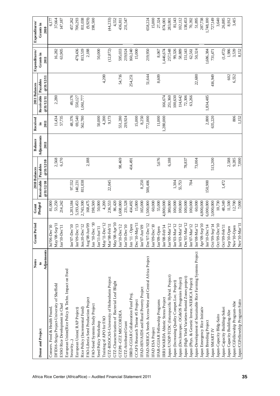| <b>Notes</b>                                                  | <b>Grant Period</b>             | Grant     |                     | 2010 Balances | Balance     | Received  |                     | 2011 Balances | Expenditures/ | Expenditures/ |
|---------------------------------------------------------------|---------------------------------|-----------|---------------------|---------------|-------------|-----------|---------------------|---------------|---------------|---------------|
| $\mathbf{s}$<br>Donor and Project                             |                                 | Pledged   | Receivable Payables |               | Adjustments | Ē.        | Receivable Payables |               | Grants in     | Grants in     |
| Adjustments                                                   |                                 |           | @31/12/10           | @31/12/10     | 2011        | 2011      | @31/12/11           | @31/12/11     | 2011          | 2010          |
| Conserv. Food & Health Found                                  | $\bullet$<br>Jul'06-Dec'1       | 81,000    |                     |               |             |           |                     |               |               | 6,177         |
| DFID16-Striga Project-University of Sheffield                 | May'08-Sep'11                   | 53,250    |                     | 2,568         |             | 11,434    | 2,280               |               | 16,282        | 37,664        |
| ESSO Rice Development in Chad                                 | Jan'10-Dec'11                   | 214,242   |                     | 6,170         |             | 57,735    |                     |               | 63,905        | 147,187       |
| European Union(Rice Policy & Techn. Impact on Food            |                                 |           |                     |               |             |           |                     |               |               |               |
| Security                                                      | $\circ$<br>Jan'07-Dec'1         | 1,203,184 | 97,552              |               |             | 48,376    | 49,176              |               |               | 457,262       |
| European Union(RAP Project)                                   | $\omega$<br>Jan'09-Dec'1        | 5,193,453 | 140,231             |               |             | 69,540    | 550,127             |               | 479,436       | 700,293       |
| Rice Policy (Incremental Fund)                                | $\mathbf{a}$<br>Jun:10-Dec'1    | 2,743,300 | 811,038             |               |             | 562,780   | 1,061,777           |               | 813,519       | 811,038       |
| FAO-Liberia Seed Production Project                           | Aug'08-Jun'09                   | 168,475   |                     | 2,188         |             |           |                     |               | 2,188         | (9,929)       |
| FAO-Seed Systems Study Project                                | $_{01}$<br>Jan '10-Dec          | 198,500   |                     |               |             |           |                     |               |               | 198,500       |
| Seed Policy Workshop                                          | $Jan'11-Iun'11$                 | 50,000    |                     |               |             | 50,000    |                     |               | 50,000        |               |
| Training of APO for FAO                                       | May'11-Dec'12                   | 4,200     |                     |               |             | 4,200     |                     | 4,200         |               |               |
| GTZ-RISOCAS-University of Hohenheim Project                   | Mar'08-Feb'11                   | 236,553   | 22,045              |               |             | 9,173     |                     |               | (12, 872)     | (44, 233)     |
| GTZ-Characterization of Bacterial Leaf Blight                 | May'08-Apr'10                   | 86,420    |                     |               |             |           |                     |               |               | 4,552         |
| GTZP8 - GTZ MICCORDEA                                         | Jan'10-Dec'12<br>Jan'10-Dec'10  | 1,608,000 |                     | 98,469        |             | 551,280   |                     | 54,716        | 595,033       | 436,811       |
| GTZ-Attributed Grant                                          |                                 | 231,528   |                     |               |             | 219,924   |                     |               | 219,924       | 231,547       |
| IBRD-CGIAR Collaboration Fund Proj.                           | Jan '11 - Open                  | 414,492   |                     | 414,491       |             |           |                     | 254,251       | 160,240       |               |
| CCAFS Research Theme #5 Project                               | Dec'10-May'11                   | 15,000    |                     |               |             | 15,000    |                     |               | 15,000        |               |
| IFAD-HIV/AIDS and Rural Poverty Project                       | $\rm Jan' O7\hbox{-}Jun' O9$    | 165,000   | 8,250               |               |             | 8,250     |                     |               |               |               |
| IFAD-NERICA Seeds Access-West and Central Africa Project      | Dec'07-Dec'12                   | 1,500,000 | 500,406             |               |             | 772,000   |                     | 51,644        | 219,950       | 658,224       |
| IFAD ESA Project                                              | $\subseteq$<br>Jan'09-Dec'1     | 60,000    |                     |               |             |           |                     |               |               | 15,000        |
| IFAR-CGIAR Fellowship Programs                                | Jan'09-Open                     | 55,000    |                     | 5,676         |             | 11,000    |                     | 8,609         | 8,067         | 27,324        |
| IRRI/WARDA Abiotic Stress Project                             | Jan'08-Feb'14                   | 4,800,000 |                     |               |             | 1,280,000 | 166,674             |               | 1,446,674     | 874,001       |
| Japan/UNDP-TCDC (Interspecific Hybrid. Project)               | Jan'00-Mar'12                   | 380,000   |                     | 6,188         |             |           | 251,360             |               | 257,548       | 283,801       |
| Japan (Increasing Quality Compet.Loc. Project)                | Jan'03-Mar'12                   | 100,000   | 1,304               |               |             |           | 100,630             |               | 99,326        | 81,143        |
| Japan (Dev.Interspec. OG&OS Progenies Project)                | Jan'03-Mar'12                   | 100,000   | 55,753              |               |             |           | 114,642             |               | 58,889        | 102,112       |
| Japan (High Yield Varieties-Humid Zones project)              | Dec'05-Mar'12                   | 100,000   |                     | 78,837        |             |           | 72,306              |               | 151,143       | 138,453       |
| Japan (Phys. & Genetic Invest.-NERICA Project)                | Jan'07-Mar'12                   | 100,000   | 704                 |               |             |           | 63,266              |               | 62,561        | 70,392        |
| Japan-Development of Sustainable Rice Farming Systems Project | $\overline{2}$<br>$Jan'08-Mar'$ | 60,000    |                     | 73,004        |             |           |                     | 22,680        | 50,324        | 51,895        |
| Japan Emergency Rice Initiativ                                | $\overline{10}$<br>Apr'09-Sep'  | 4,800,000 |                     |               |             |           |                     |               |               | 287,738       |
| Japan Breeding Project                                        | Jan'10-Dec'14                   | 6,000,000 | 150,900             |               |             | 2,800     | 1,834,485           |               | 1,686,384     | 1,748,100     |
| Japan SMART IV                                                | Oct'09-Sep'14                   | 3,000,000 |                     | 513,200       |             | 635,220   |                     | 416,949       | 731,471       | 727,149       |
| Japan-Capacity Bldg-Saito                                     | Oct'09-Dec'10                   | 10,730    |                     |               |             |           |                     |               |               | 3,640         |
| Japan-Capacity Building-Sokei                                 | Oct'09-Feb'11                   | 48,349    | 1,472               |               |             |           |                     |               | (1,472)       | 26,885        |
| Japan Capacity Building-Abe                                   | Sep'10-Open                     | 11,500    |                     | 2,588         |             |           |                     | 602           | 1,986         | 8,912         |
| Japan/CGFellowship Program-Abe                                | Nov'10-Open                     | 12,700    |                     | 9,285         |             | 806       |                     | 6,552         | 3,539         | 3,415         |
| Japan/CGFellowship Program-Saito                              | Nov'10-Mar'11                   | 7,000     |                     | 7,000         |             | 1,152     |                     |               | 8,152         |               |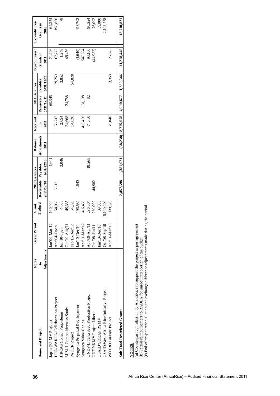| 36                                                                 | <b>Notes</b>                                                                                                                                                            | <b>Grant Period</b>                                                                                                                                                                                                                                                            | Grant     |            | 2010 Balances | <b>Balance</b> | Received   | 2011 Balances |           | Expenditures/ | Expenditures/ |
|--------------------------------------------------------------------|-------------------------------------------------------------------------------------------------------------------------------------------------------------------------|--------------------------------------------------------------------------------------------------------------------------------------------------------------------------------------------------------------------------------------------------------------------------------|-----------|------------|---------------|----------------|------------|---------------|-----------|---------------|---------------|
|                                                                    | $\boldsymbol{\mathsf{s}}$<br>Donor and Project                                                                                                                          |                                                                                                                                                                                                                                                                                | Pledged   | Receivable | Payables      | Adjustments    | $\ddot{=}$ | Receivable    | Payables  | Grants in     | Grants in     |
|                                                                    | Adjustments                                                                                                                                                             |                                                                                                                                                                                                                                                                                |           | @31/12/10  | @31/12/10     | 2011           | 2011       | @31/12/11     | @31/12/11 | 2011          | 2010          |
|                                                                    | Japan (RYMV Project)                                                                                                                                                    | S.<br>$Jan'00-Mar'$                                                                                                                                                                                                                                                            | 100,000   |            | 1,601         |                |            | 69,345        |           | 70,946        | 64,254        |
|                                                                    | JICA/WARDA-Collaboration Project                                                                                                                                        | Apr'04-Open                                                                                                                                                                                                                                                                    | 164,035   | 58,171     |               |                | 155,212    |               | 29,269    | 67,772        | 198,866       |
|                                                                    | JIRCAS Collab. Proj.-Benin                                                                                                                                              | Jun'10-open                                                                                                                                                                                                                                                                    | 4,000     |            | 3,046         |                | 2,054      |               | 3,852     | 1,248         | 78            |
|                                                                    | MISU1-Competitiveness Study                                                                                                                                             | Oct'10-Aug'                                                                                                                                                                                                                                                                    | 49,335    |            |               |                | 24,668     | 24,788        |           | 49,456        |               |
|                                                                    | PADER Project                                                                                                                                                           | Feb'11-Dec'12<br>Ian'10-Dec'10                                                                                                                                                                                                                                                 | 54,820    |            |               |                | 54,820     |               | 54,820    |               |               |
|                                                                    | Syngenta Proposal Development                                                                                                                                           |                                                                                                                                                                                                                                                                                | 193,530   | 1,640      |               |                |            |               |           | (1,640)       | 118,702       |
|                                                                    | Syngenta Value Chains                                                                                                                                                   | Apr'11-Mar'12                                                                                                                                                                                                                                                                  | 416,456   |            |               |                | 416,456    | 131,198       |           | 547,654       |               |
|                                                                    | UNDP-Liberia Seed Production Project                                                                                                                                    | $\begin{array}{ l } \hline \text{A} \text{p} r^{\ast} 09\text{-} \text{A} \text{p} r^{\ast} 11 \\ \hline \text{O} \text{c} t^{\ast} 08\text{-} \text{J} \text{u} n^{\ast} 11 \\ \hline \text{J} \text{a} n^{\ast} 10\text{-} \text{D} \text{e} \text{c}^{\ast} 10 \end{array}$ | 296,604   |            | 18,268        |                | 74,750     | 82            |           | 93,100        | 90,224        |
|                                                                    | UNDP KMV Project Liberia                                                                                                                                                |                                                                                                                                                                                                                                                                                | 230,000   | 44,982     |               |                |            |               |           | (44,982)      | 76,092        |
|                                                                    | USAID/CORAF RYMV                                                                                                                                                        |                                                                                                                                                                                                                                                                                | 39,000    |            |               |                |            |               |           |               | 39,000        |
|                                                                    | USAID: West Africa Rice Initiative Project                                                                                                                              | $\circ$<br>$Oct'08-Sep'$                                                                                                                                                                                                                                                       | 5,100,000 |            |               |                |            |               |           |               | 2,102,578     |
|                                                                    | WOTRO Parasite Project                                                                                                                                                  | $\omega$<br>Apr'11-Mar'1                                                                                                                                                                                                                                                       | 139,923   |            |               |                | 29,040     |               | 3,368     | 25,672        |               |
|                                                                    | Sub-Total Restricted Grants                                                                                                                                             |                                                                                                                                                                                                                                                                                |           | 2,457,598  | 1,381,071     | (38, 238)      | 8,775,078  | 4,900,677     | 1,282,544 | 11,278,445    | 13,710,831    |
| Africa Rice Center (AfricaRice) - Audited Financial Statement 2011 | (a) Counterpart contribution by AfricaRice to support the project as per agreement<br>(b) Partial reimbursement to BADEA for unrequired portion of the budget<br>NOTES: |                                                                                                                                                                                                                                                                                |           |            |               |                |            |               |           |               |               |
|                                                                    | (c) End of project reconciliation and exchange difference adjustements made during the period                                                                           |                                                                                                                                                                                                                                                                                |           |            |               |                |            |               |           |               |               |
|                                                                    |                                                                                                                                                                         |                                                                                                                                                                                                                                                                                |           |            |               |                |            |               |           |               |               |
|                                                                    |                                                                                                                                                                         |                                                                                                                                                                                                                                                                                |           |            |               |                |            |               |           |               |               |
|                                                                    |                                                                                                                                                                         |                                                                                                                                                                                                                                                                                |           |            |               |                |            |               |           |               |               |
|                                                                    |                                                                                                                                                                         |                                                                                                                                                                                                                                                                                |           |            |               |                |            |               |           |               |               |
|                                                                    |                                                                                                                                                                         |                                                                                                                                                                                                                                                                                |           |            |               |                |            |               |           |               |               |
|                                                                    |                                                                                                                                                                         |                                                                                                                                                                                                                                                                                |           |            |               |                |            |               |           |               |               |
|                                                                    |                                                                                                                                                                         |                                                                                                                                                                                                                                                                                |           |            |               |                |            |               |           |               |               |
|                                                                    |                                                                                                                                                                         |                                                                                                                                                                                                                                                                                |           |            |               |                |            |               |           |               |               |
|                                                                    |                                                                                                                                                                         |                                                                                                                                                                                                                                                                                |           |            |               |                |            |               |           |               |               |
|                                                                    |                                                                                                                                                                         |                                                                                                                                                                                                                                                                                |           |            |               |                |            |               |           |               |               |
|                                                                    |                                                                                                                                                                         |                                                                                                                                                                                                                                                                                |           |            |               |                |            |               |           |               |               |
|                                                                    |                                                                                                                                                                         |                                                                                                                                                                                                                                                                                |           |            |               |                |            |               |           |               |               |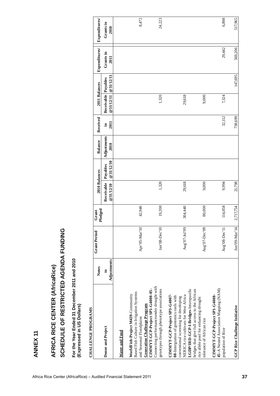| SCHEDULE OF RESTRICTED AGENDA FUNDING<br>AFRICA RICE CENTER (AfricaRice)                                                                                                                          |                                             |                     |           |                                          |                       |                                       |                                |                                                   |           |                                    |                                    |
|---------------------------------------------------------------------------------------------------------------------------------------------------------------------------------------------------|---------------------------------------------|---------------------|-----------|------------------------------------------|-----------------------|---------------------------------------|--------------------------------|---------------------------------------------------|-----------|------------------------------------|------------------------------------|
| For the Year Ended 31 December 2011 and 2010<br>(Expressed in US Dollars)                                                                                                                         |                                             |                     |           |                                          |                       |                                       |                                |                                                   |           |                                    |                                    |
| <b>CHALLENGE PROGRAMS</b>                                                                                                                                                                         |                                             | <b>Grant Period</b> | Grant     |                                          |                       |                                       |                                |                                                   |           |                                    |                                    |
| Donor and Project                                                                                                                                                                                 | Adjustments<br><b>Notes</b><br>$\mathbf{c}$ |                     | Pledged   | 2010 Balances<br>Receivable<br>@31/12/10 | @31/12/10<br>Payables | Adjustments<br><b>Balance</b><br>2010 | Received<br>2011<br>$\ddot{=}$ | Receivable Payables<br>2011 Balances<br>@31/12/11 | @31/12/11 | Expenditures/<br>Grants in<br>2011 | Expenditures/<br>Grants in<br>2010 |
| Water and Food                                                                                                                                                                                    |                                             |                     |           |                                          |                       |                                       |                                |                                                   |           |                                    |                                    |
| Based Fish Culture in Irrigation Systems<br>WorldFish-Project M439-Community<br>Generation Challenge Program<br>and Seasonal Floodplains                                                          |                                             | Apr'05-Mar'10       | 42,946    |                                          |                       |                                       |                                |                                                   |           |                                    | 8,472                              |
| Connecting performanceunder drought with<br>CIMMYT-GCP-Project SP1-G4008-05-<br>genotypes through phenotype associations                                                                          |                                             | Jan'08-Dec'10       | 19,200    | 1,320                                    |                       |                                       |                                | 1,320                                             |           |                                    | 24,223                             |
| LGDP/IRD-GCP-I-Bridges-Interspecific<br>CIMMYT-GCP-Project SP3-G4007-<br>NERICA rice cultivars for West Africa<br>08-Intergration of genomics tools with<br>conventional screening for developing |                                             | Aug'07-Jul'09       | 304,440   | 29,618                                   |                       |                                       |                                | 29,618                                            |           |                                    |                                    |
| bridges that give full access to the African<br>rice allele pool for enhancing drought<br>tolerance of African rice                                                                               |                                             | Aug'07-Dec'09       | 80,000    | 9,000                                    |                       |                                       |                                | 9,000                                             |           |                                    |                                    |
| 45-A Nested Association Mapping (NAM)<br>CIMMYT-GCP-Project SP1-G4008-<br>population of Rice                                                                                                      |                                             | Aug'08-Dec'11       | 114,058   | 9,994                                    |                       |                                       | 32,112                         | 7,324                                             |           | 29,442                             | 6,898                              |
| GCP Rice Challenge Initiative                                                                                                                                                                     |                                             | Jun'09-Mar'14       | 2,717,754 | 21,798                                   |                       |                                       | 738,699                        |                                                   | 147,695   | 569,206                            | 517,965                            |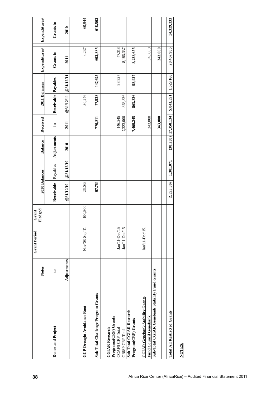| 38                                                                 |                                                                                                   | <b>Notes</b> | <b>Grant Period</b>            | Pledged<br>Grant | 2010 Balances |           | Balance     | Received                 | 2011 Balances       |           | Expenditures/       | Expenditures/ |  |
|--------------------------------------------------------------------|---------------------------------------------------------------------------------------------------|--------------|--------------------------------|------------------|---------------|-----------|-------------|--------------------------|---------------------|-----------|---------------------|---------------|--|
|                                                                    | Donor and Project                                                                                 | $\mathbf{e}$ |                                |                  | Receivable    | Payables  | Adjustments | Ξ.                       | Receivable Payables |           | Grants in           | Grants in     |  |
|                                                                    |                                                                                                   | Adjustments  |                                |                  | @31/12/10     | @31/12/10 | 2010        | 2011                     | @31/12/11           | @31/12/11 | 2011                | 2010          |  |
|                                                                    |                                                                                                   |              |                                |                  |               |           |             |                          |                     |           |                     |               |  |
|                                                                    | GCP Drought Avoidance Root                                                                        |              | Nov'08-Sep'11                  | 100,800          | 26,039        |           |             |                          | 30,276              |           | 4,237               | 60,944        |  |
|                                                                    | Sub-Total Challenge Program Grants                                                                |              |                                |                  | 97,769        |           |             | 770,811                  | 77,538              | 147,695   | 602,885             | 618,502       |  |
|                                                                    | Programa(CRP) Grants<br><b>CCAFS CRP</b> Total<br><b>CGIAR Research</b><br><b>GRISP CRP-Total</b> |              | Jan'11-Dec'15<br>Jan'11-Dec'15 |                  |               |           |             | 7,323,000<br>146,245     | 863,336             | 98,927    | 47,318<br>8,186,337 |               |  |
|                                                                    | Sub-Total CGIAR Research<br>Program(CRP) Grants                                                   |              |                                |                  |               |           |             | 7,469,245                | 863,336             | 98,927    | 8,233,655           |               |  |
|                                                                    | <b>CGIAR Genebank Stability Grants</b><br><b>Fund Council Genebank</b>                            |              | Jan'11-Dec'15.                 |                  |               |           |             | 343,000                  |                     |           | 343,000             |               |  |
|                                                                    | Sub-Total CGIAR Genebank Stability Fund Grants                                                    |              |                                |                  |               |           |             | 343,000                  |                     |           | 343,000             |               |  |
|                                                                    | <b>Total All Restricted Grants</b>                                                                |              |                                |                  | 2,555,367     | 1,381,071 |             | $(38, 238)$ 17, 358, 134 | 5,841,551           | 1,529,166 | 20,457,985          | 14,329,333    |  |
|                                                                    | <b>NOTES:</b>                                                                                     |              |                                |                  |               |           |             |                          |                     |           |                     |               |  |
| Africa Rice Center (AfricaRice) - Audited Financial Statement 2011 |                                                                                                   |              |                                |                  |               |           |             |                          |                     |           |                     |               |  |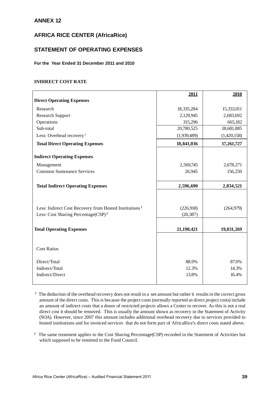## **ANNEX 12**

## **AFRICA RICE CENTER (AfricaRice)**

## **STATEMENT OF OPERATING EXPENSES**

#### **For the Year Ended 31 December 2011 and 2010**

### **INDIRECT COST RATE**

|                                                                    | 2011        | 2010        |
|--------------------------------------------------------------------|-------------|-------------|
| <b>Direct Operating Expenses</b>                                   |             |             |
| Research                                                           | 18,335,284  | 15,333,011  |
| <b>Research Support</b>                                            | 2,129,945   | 2,683,692   |
| Operations                                                         | 315,296     | 665,182     |
| Sub-total                                                          | 20,780,525  | 18,681,885  |
| Less: Overhead recovery <sup>1</sup>                               | (1,939,489) | (1,420,158) |
| <b>Total Direct Operating Expenses</b>                             | 18,841,036  | 17,261,727  |
| <b>Indirect Operating Expenses</b>                                 |             |             |
| Management                                                         | 2,569,745   | 2,678,271   |
| <b>Common Sustenance Services</b>                                  | 26,945      | 156,250     |
|                                                                    |             |             |
| <b>Total Indirect Operating Expenses</b>                           | 2,596,690   | 2,834,521   |
|                                                                    |             |             |
| Less: Indirect Cost Recovery from Hosted Institutions <sup>1</sup> | (226,918)   | (264, 979)  |
| Less: Cost Sharing Percentage(CSP) <sup>2</sup>                    | (20, 387)   |             |
|                                                                    |             |             |
| <b>Total Operating Expenses</b>                                    | 21,190,421  | 19,831,269  |
|                                                                    |             |             |
| <b>Cost Ratios</b>                                                 |             |             |
| Direct/Total                                                       | 88.9%       | 87.0%       |
| Indirect/Total                                                     | 12.3%       | 14.3%       |
| Indirect/Direct                                                    | 13.8%       | 16.4%       |
|                                                                    |             |             |

**<sup>1</sup>**The deduction of the overhead recovery does not result in a net amount but rather it results in the correct gross amount of the direct costs. This is because the project costs (normally reported as direct project costs) include an amount of indirect costs that a donor of restricted projects allows a Center to recover. As this is not a real direct cost it should be removed. This is usually the amount shown as recovery in the Statement of Activity (SOA). However, since 2007 this amount includes additional overhead recovery due to services provided to hosted institutions and for invoiced services that do not form part of AfricaRice's direct costs stated above.

<sup>2</sup>The same treatment applies to the Cost Sharing Percentage(CSP) recorded in the Statement of Activities but which supposed to be remitted to the Fund Council.